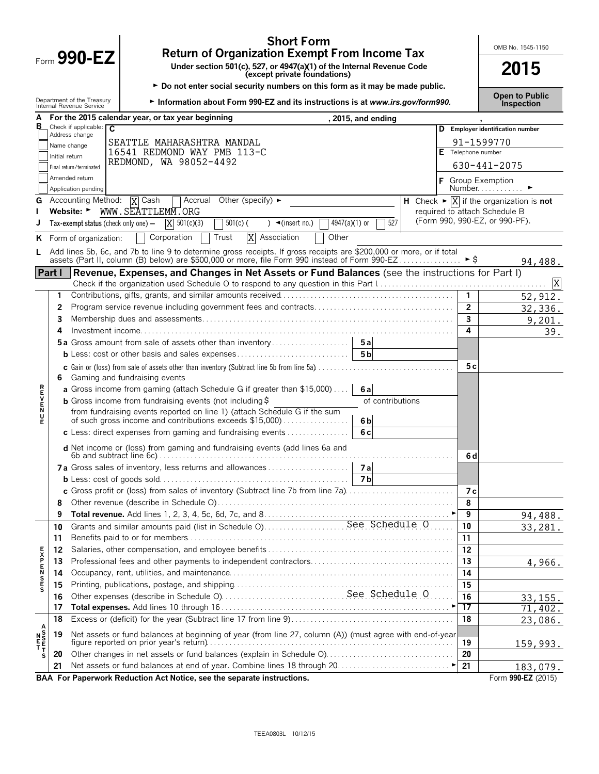|         |                                                                               | Form 990-EZ                                                 | <b>Short Form</b><br><b>Return of Organization Exempt From Income Tax</b>                                                                                                                                              |  |  |                | OMB No. 1545-1150                                                                                             |  |  |  |
|---------|-------------------------------------------------------------------------------|-------------------------------------------------------------|------------------------------------------------------------------------------------------------------------------------------------------------------------------------------------------------------------------------|--|--|----------------|---------------------------------------------------------------------------------------------------------------|--|--|--|
|         |                                                                               |                                                             | 2015                                                                                                                                                                                                                   |  |  |                |                                                                                                               |  |  |  |
|         | ► Do not enter social security numbers on this form as it may be made public. |                                                             |                                                                                                                                                                                                                        |  |  |                |                                                                                                               |  |  |  |
|         |                                                                               | Department of the Treasury<br>Internal Revenue Service      | Information about Form 990-EZ and its instructions is at www.irs.gov/form990.                                                                                                                                          |  |  |                | <b>Open to Public</b><br><b>Inspection</b>                                                                    |  |  |  |
| А<br>В  |                                                                               | Check if applicable: $\overline{C}$                         | For the 2015 calendar year, or tax year beginning<br>, 2015, and ending                                                                                                                                                |  |  |                |                                                                                                               |  |  |  |
|         |                                                                               | Address change                                              |                                                                                                                                                                                                                        |  |  |                | D Employer identification number                                                                              |  |  |  |
|         |                                                                               | Name change                                                 | SEATTLE MAHARASHTRA MANDAL<br>16541 REDMOND WAY PMB 113-C                                                                                                                                                              |  |  |                | 91-1599770<br>Telephone number                                                                                |  |  |  |
|         | Initial return                                                                |                                                             | REDMOND, WA 98052-4492                                                                                                                                                                                                 |  |  |                |                                                                                                               |  |  |  |
|         |                                                                               | Final return/terminated                                     |                                                                                                                                                                                                                        |  |  |                | 630-441-2075                                                                                                  |  |  |  |
|         |                                                                               | Amended return<br>Application pending                       |                                                                                                                                                                                                                        |  |  |                | <b>F</b> Group Exemption<br>Number.                                                                           |  |  |  |
| G       |                                                                               | <b>Accounting Method:</b><br>Website: $\blacktriangleright$ | T Accrual Other (specify) ►<br><b>X</b> Cash<br>WWW.SEATTLEMM.ORG                                                                                                                                                      |  |  |                | H Check $\blacktriangleright \overline{X}$ if the organization is <b>not</b><br>required to attach Schedule B |  |  |  |
|         |                                                                               | Tax-exempt status (check only one) $-$                      | $X = 501(c)(3)$<br>4947(a)(1) or<br>527<br>$501(c)$ (<br>) $\blacktriangleleft$ (insert no.)                                                                                                                           |  |  |                | (Form 990, 990-EZ, or 990-PF).                                                                                |  |  |  |
|         |                                                                               |                                                             |                                                                                                                                                                                                                        |  |  |                |                                                                                                               |  |  |  |
| ĸ       |                                                                               | Form of organization:                                       | X Association<br>Trust<br>Other<br>Corporation                                                                                                                                                                         |  |  |                |                                                                                                               |  |  |  |
|         |                                                                               |                                                             | Add lines 5b, 6c, and 7b to line 9 to determine gross receipts. If gross receipts are \$200,000 or more, or if total<br>assets (Part II, column (B) below) are \$500,000 or more, file Form 990 instead of Form 990-EZ |  |  | ► S            |                                                                                                               |  |  |  |
|         | Part I                                                                        |                                                             | Revenue, Expenses, and Changes in Net Assets or Fund Balances (see the instructions for Part I)                                                                                                                        |  |  |                | 94,488.                                                                                                       |  |  |  |
|         |                                                                               |                                                             |                                                                                                                                                                                                                        |  |  |                | X                                                                                                             |  |  |  |
|         | 1.                                                                            |                                                             |                                                                                                                                                                                                                        |  |  | 1              | 52,912.                                                                                                       |  |  |  |
|         | 2                                                                             |                                                             |                                                                                                                                                                                                                        |  |  | $\overline{2}$ | 32,336.                                                                                                       |  |  |  |
|         | 3                                                                             |                                                             |                                                                                                                                                                                                                        |  |  | 3              | 9,201.                                                                                                        |  |  |  |
|         | 4                                                                             |                                                             |                                                                                                                                                                                                                        |  |  | 4              | 39.                                                                                                           |  |  |  |
|         |                                                                               |                                                             | <b>5a</b> Gross amount from sale of assets other than inventory<br>5a                                                                                                                                                  |  |  |                |                                                                                                               |  |  |  |
|         |                                                                               |                                                             | 5 <sub>b</sub>                                                                                                                                                                                                         |  |  |                |                                                                                                               |  |  |  |
|         | 6.                                                                            |                                                             | Gaming and fundraising events                                                                                                                                                                                          |  |  | 5 c            |                                                                                                               |  |  |  |
|         |                                                                               |                                                             | a Gross income from gaming (attach Schedule G if greater than \$15,000)<br>6al                                                                                                                                         |  |  |                |                                                                                                               |  |  |  |
| ロマドヘアス  |                                                                               |                                                             | <b>b</b> Gross income from fundraising events (not including $\ddot{\theta}$<br>of contributions                                                                                                                       |  |  |                |                                                                                                               |  |  |  |
|         |                                                                               |                                                             | from fundraising events reported on line 1) (attach Schedule G if the sum<br>of such gross income and contributions exceeds \$15,000)<br>6 <sub>b</sub>                                                                |  |  |                |                                                                                                               |  |  |  |
|         |                                                                               |                                                             | c Less: direct expenses from gaming and fundraising events $\ldots$<br>6c                                                                                                                                              |  |  |                |                                                                                                               |  |  |  |
|         |                                                                               |                                                             | d Net income or (loss) from gaming and fundraising events (add lines 6a and                                                                                                                                            |  |  | 6 d            |                                                                                                               |  |  |  |
|         |                                                                               |                                                             | 7a Gross sales of inventory, less returns and allowances<br>7a                                                                                                                                                         |  |  |                |                                                                                                               |  |  |  |
|         |                                                                               |                                                             | 7 b                                                                                                                                                                                                                    |  |  |                |                                                                                                               |  |  |  |
|         |                                                                               |                                                             | c Gross profit or (loss) from sales of inventory (Subtract line 7b from line 7a)                                                                                                                                       |  |  | 7 с            |                                                                                                               |  |  |  |
|         | 8                                                                             |                                                             |                                                                                                                                                                                                                        |  |  | 8              |                                                                                                               |  |  |  |
|         | 9                                                                             |                                                             |                                                                                                                                                                                                                        |  |  | 9              | 94,488.                                                                                                       |  |  |  |
|         | 10<br>11                                                                      |                                                             |                                                                                                                                                                                                                        |  |  | 10<br>11       | 33,281.                                                                                                       |  |  |  |
|         | 12                                                                            |                                                             |                                                                                                                                                                                                                        |  |  | 12             |                                                                                                               |  |  |  |
|         | 13                                                                            |                                                             |                                                                                                                                                                                                                        |  |  | 13             | 4,966.                                                                                                        |  |  |  |
| のFSMFXF | 14                                                                            |                                                             |                                                                                                                                                                                                                        |  |  | 14             |                                                                                                               |  |  |  |
|         | 15                                                                            |                                                             |                                                                                                                                                                                                                        |  |  | 15             |                                                                                                               |  |  |  |
|         | 16                                                                            |                                                             |                                                                                                                                                                                                                        |  |  | 16             | 33, 155.                                                                                                      |  |  |  |
|         | 17                                                                            |                                                             |                                                                                                                                                                                                                        |  |  | 17             | 71,402.                                                                                                       |  |  |  |
|         | 18                                                                            |                                                             |                                                                                                                                                                                                                        |  |  | 18             | 23,086.                                                                                                       |  |  |  |
|         | 19                                                                            |                                                             | Net assets or fund balances at beginning of year (from line 27, column (A)) (must agree with end-of-year                                                                                                               |  |  | 19             | 159,993.                                                                                                      |  |  |  |
| s       | 20                                                                            |                                                             | Other changes in net assets or fund balances (explain in Schedule O)                                                                                                                                                   |  |  | 20             |                                                                                                               |  |  |  |
|         | 21                                                                            |                                                             |                                                                                                                                                                                                                        |  |  | 21             | 183,079.                                                                                                      |  |  |  |
|         |                                                                               |                                                             | BAA For Paperwork Reduction Act Notice, see the separate instructions.                                                                                                                                                 |  |  |                | Form 990-EZ (2015)                                                                                            |  |  |  |

TEEA0803L 10/12/15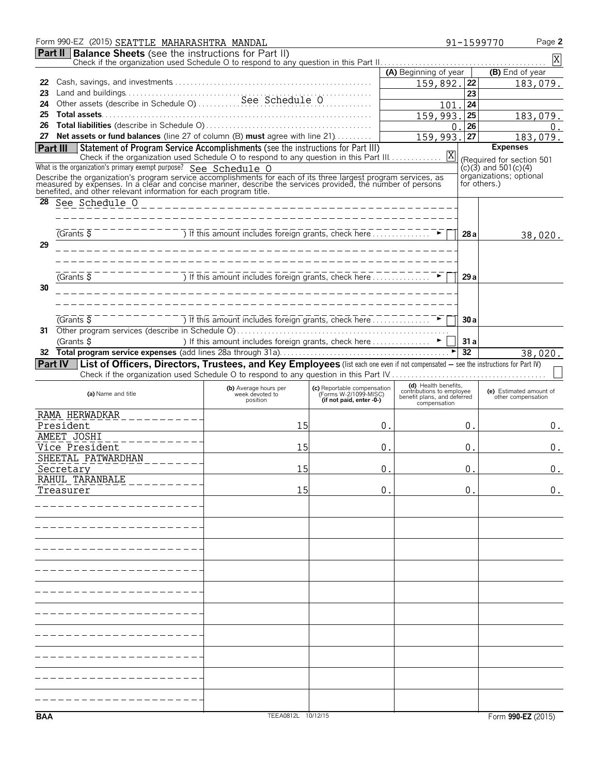|          | Form 990-EZ (2015) SEATTLE MAHARASHTRA MANDAL                                                                                                                                                                                |                                                                                                                                                                                                                               |                                                      |                                                   |                 | Page 2<br>91-1599770      |
|----------|------------------------------------------------------------------------------------------------------------------------------------------------------------------------------------------------------------------------------|-------------------------------------------------------------------------------------------------------------------------------------------------------------------------------------------------------------------------------|------------------------------------------------------|---------------------------------------------------|-----------------|---------------------------|
|          | <b>Part II   Balance Sheets</b> (see the instructions for Part II)                                                                                                                                                           |                                                                                                                                                                                                                               |                                                      |                                                   |                 | $\mathbf X$               |
|          |                                                                                                                                                                                                                              |                                                                                                                                                                                                                               |                                                      | (A) Beginning of year                             |                 | (B) End of year           |
| 22       |                                                                                                                                                                                                                              |                                                                                                                                                                                                                               |                                                      | 159,892.                                          | 22              | 183,079.                  |
| 23       |                                                                                                                                                                                                                              |                                                                                                                                                                                                                               |                                                      |                                                   | 23              |                           |
| 24       |                                                                                                                                                                                                                              |                                                                                                                                                                                                                               |                                                      | 101                                               | 24              |                           |
| 25       |                                                                                                                                                                                                                              |                                                                                                                                                                                                                               |                                                      | 159,993.                                          | 25              | 183,079.                  |
| 26       |                                                                                                                                                                                                                              |                                                                                                                                                                                                                               |                                                      | 0                                                 | 26              | 0.                        |
| 27       | Net assets or fund balances (line 27 of column (B) must agree with line 21)                                                                                                                                                  |                                                                                                                                                                                                                               |                                                      | 159,993.                                          | 27              | 183,079.                  |
| Part III | Statement of Program Service Accomplishments (see the instructions for Part III)                                                                                                                                             |                                                                                                                                                                                                                               |                                                      |                                                   |                 | <b>Expenses</b>           |
|          |                                                                                                                                                                                                                              |                                                                                                                                                                                                                               |                                                      |                                                   |                 | (Required for section 501 |
|          | What is the organization's primary exempt purpose? See Schedule O                                                                                                                                                            |                                                                                                                                                                                                                               |                                                      |                                                   |                 | $(c)(3)$ and 501 $(c)(4)$ |
|          | Describe the organization's program service accomplishments for each of its three largest program services, as<br>measured by expenses. In a clear and concise manner, describe the services provided, the number of persons |                                                                                                                                                                                                                               |                                                      |                                                   | for others.)    | organizations; optional   |
|          | benefited, and other relevant information for each program title.                                                                                                                                                            |                                                                                                                                                                                                                               |                                                      |                                                   |                 |                           |
| 28       | See <u>Schedule</u> $0$ ________________________                                                                                                                                                                             |                                                                                                                                                                                                                               |                                                      |                                                   |                 |                           |
|          |                                                                                                                                                                                                                              |                                                                                                                                                                                                                               |                                                      |                                                   |                 |                           |
|          |                                                                                                                                                                                                                              |                                                                                                                                                                                                                               |                                                      |                                                   |                 |                           |
|          | $\overline{G}$ Grants $\overline{S}$                                                                                                                                                                                         | The Compact of the Compact of the Compact of the Compact of the Compact of the Compact of the Compact of the Compact of the Compact of the Compact of the Compact of the Compact of the Compact of the Compact of the Compact |                                                      |                                                   | 28a             | 38,020.                   |
| 29       |                                                                                                                                                                                                                              | ___________________________________                                                                                                                                                                                           |                                                      |                                                   |                 |                           |
|          |                                                                                                                                                                                                                              |                                                                                                                                                                                                                               |                                                      |                                                   |                 |                           |
|          |                                                                                                                                                                                                                              |                                                                                                                                                                                                                               |                                                      |                                                   |                 |                           |
|          | $(Grants \overline{S})$                                                                                                                                                                                                      | $\overline{1}$ If this amount includes foreign grants, check here                                                                                                                                                             |                                                      |                                                   | 29a             |                           |
| 30       |                                                                                                                                                                                                                              |                                                                                                                                                                                                                               |                                                      |                                                   |                 |                           |
|          |                                                                                                                                                                                                                              |                                                                                                                                                                                                                               |                                                      |                                                   |                 |                           |
|          |                                                                                                                                                                                                                              |                                                                                                                                                                                                                               |                                                      |                                                   |                 |                           |
|          | $\overline{G}$ Cants $\overline{S}$                                                                                                                                                                                          | $\overline{)}$ If this amount includes foreign grants, check here $\overline{}$ $\overline{}$ $\overline{}$ $\overline{}$ $\overline{}$                                                                                       |                                                      |                                                   | 30 a            |                           |
| 31       |                                                                                                                                                                                                                              |                                                                                                                                                                                                                               |                                                      |                                                   |                 |                           |
|          | (Grants \$                                                                                                                                                                                                                   | ) If this amount includes foreign grants, check here ▶                                                                                                                                                                        |                                                      |                                                   | 31a             |                           |
|          |                                                                                                                                                                                                                              |                                                                                                                                                                                                                               |                                                      |                                                   | $\overline{32}$ | 38,020.                   |
|          | Part IV   List of Officers, Directors, Trustees, and Key Employees (list each one even if not compensated - see the instructions for Part IV)                                                                                |                                                                                                                                                                                                                               |                                                      |                                                   |                 |                           |
|          |                                                                                                                                                                                                                              |                                                                                                                                                                                                                               |                                                      |                                                   |                 |                           |
|          | (a) Name and title                                                                                                                                                                                                           | (b) Average hours per                                                                                                                                                                                                         | (c) Reportable compensation<br>(Forms W-2/1099-MISC) | (d) Health benefits.<br>contributions to employee |                 | (e) Estimated amount of   |
|          |                                                                                                                                                                                                                              | week devoted to<br>position                                                                                                                                                                                                   | (if not paid, enter -0-)                             | benefit plans, and deferred<br>compensation       |                 | other compensation        |
|          | RAMA HERWADKAR                                                                                                                                                                                                               |                                                                                                                                                                                                                               |                                                      |                                                   |                 |                           |
|          | President                                                                                                                                                                                                                    | 15                                                                                                                                                                                                                            | 0.                                                   |                                                   | 0.              | 0.                        |
|          | AMEET JOSHI                                                                                                                                                                                                                  |                                                                                                                                                                                                                               |                                                      |                                                   |                 |                           |
|          | Vice President                                                                                                                                                                                                               | 15                                                                                                                                                                                                                            | 0.                                                   |                                                   | 0.              | 0.                        |
|          | SHEETAL PATWARDHAN                                                                                                                                                                                                           |                                                                                                                                                                                                                               |                                                      |                                                   |                 |                           |
|          | Secretary                                                                                                                                                                                                                    | 15                                                                                                                                                                                                                            | 0                                                    |                                                   | 0               | 0.                        |
|          | RAHUL TARANBALE                                                                                                                                                                                                              |                                                                                                                                                                                                                               |                                                      |                                                   |                 |                           |
|          | Treasurer                                                                                                                                                                                                                    | 15                                                                                                                                                                                                                            | 0.                                                   |                                                   | 0.              | 0.                        |
|          |                                                                                                                                                                                                                              |                                                                                                                                                                                                                               |                                                      |                                                   |                 |                           |
|          |                                                                                                                                                                                                                              |                                                                                                                                                                                                                               |                                                      |                                                   |                 |                           |
|          |                                                                                                                                                                                                                              |                                                                                                                                                                                                                               |                                                      |                                                   |                 |                           |
|          |                                                                                                                                                                                                                              |                                                                                                                                                                                                                               |                                                      |                                                   |                 |                           |
|          |                                                                                                                                                                                                                              |                                                                                                                                                                                                                               |                                                      |                                                   |                 |                           |
|          |                                                                                                                                                                                                                              |                                                                                                                                                                                                                               |                                                      |                                                   |                 |                           |
|          |                                                                                                                                                                                                                              |                                                                                                                                                                                                                               |                                                      |                                                   |                 |                           |
|          |                                                                                                                                                                                                                              |                                                                                                                                                                                                                               |                                                      |                                                   |                 |                           |
|          |                                                                                                                                                                                                                              |                                                                                                                                                                                                                               |                                                      |                                                   |                 |                           |
|          |                                                                                                                                                                                                                              |                                                                                                                                                                                                                               |                                                      |                                                   |                 |                           |
|          |                                                                                                                                                                                                                              |                                                                                                                                                                                                                               |                                                      |                                                   |                 |                           |
|          |                                                                                                                                                                                                                              |                                                                                                                                                                                                                               |                                                      |                                                   |                 |                           |
|          |                                                                                                                                                                                                                              |                                                                                                                                                                                                                               |                                                      |                                                   |                 |                           |
|          |                                                                                                                                                                                                                              |                                                                                                                                                                                                                               |                                                      |                                                   |                 |                           |
|          |                                                                                                                                                                                                                              |                                                                                                                                                                                                                               |                                                      |                                                   |                 |                           |
|          |                                                                                                                                                                                                                              |                                                                                                                                                                                                                               |                                                      |                                                   |                 |                           |
|          |                                                                                                                                                                                                                              |                                                                                                                                                                                                                               |                                                      |                                                   |                 |                           |
|          |                                                                                                                                                                                                                              |                                                                                                                                                                                                                               |                                                      |                                                   |                 |                           |
|          |                                                                                                                                                                                                                              |                                                                                                                                                                                                                               |                                                      |                                                   |                 |                           |
|          |                                                                                                                                                                                                                              |                                                                                                                                                                                                                               |                                                      |                                                   |                 |                           |
| BAA      |                                                                                                                                                                                                                              | TEEA0812L 10/12/15                                                                                                                                                                                                            |                                                      |                                                   |                 | Form 990-EZ (2015)        |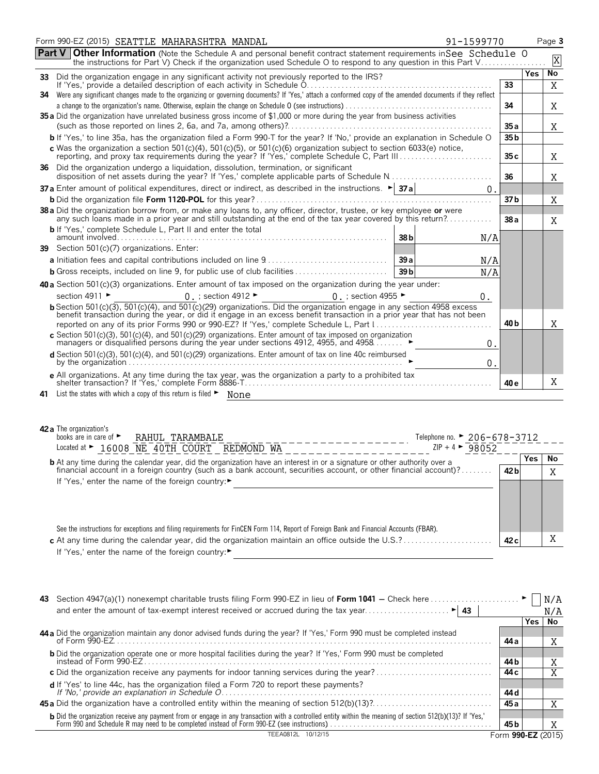| <b>Part V Other Information</b> (Note the Schedule A and personal benefit contract statement requirements in See Schedule O<br>the instructions for Part V) Check if the organization used Schedule O to respond to any question in this Part V<br>33 Did the organization engage in any significant activity not previously reported to the IRS?<br>If Yes, provide a detailed description of each activity in Schedule 0.<br>33<br>34 Were any significant changes made to the organizing or governing documents? If 'Yes,' attach a conformed copy of the amended documents if they reflect<br>34<br>35 a Did the organization have unrelated business gross income of \$1,000 or more during the year from business activities<br>35a<br>b If 'Yes,' to line 35a, has the organization filed a Form 990-T for the year? If 'No,' provide an explanation in Schedule O<br>35 b<br>c Was the organization a section 501(c)(4), 501(c)(5), or 501(c)(6) organization subject to section 6033(e) notice,<br>reporting, and proxy tax requirements during the year? If 'Yes,' complete Schedule C, Part III<br>35c<br>36 Did the organization undergo a liquidation, dissolution, termination, or significant<br>36<br>37 a Enter amount of political expenditures, direct or indirect, as described in the instructions. $\blacktriangleright$ 37 a<br>0.<br>37 b<br>38 a Did the organization borrow from, or make any loans to, any officer, director, trustee, or key employee or were<br>any such loans made in a prior year and still outstanding at the end of the tax year covered by this return?<br>38a<br><b>b</b> If 'Yes,' complete Schedule L, Part II and enter the total<br>38 <sub>b</sub><br>N/A<br>39 Section 501(c)(7) organizations. Enter:<br>39a<br>N/A<br>39 <sub>b</sub><br>N/A<br>40 a Section 501(c)(3) organizations. Enter amount of tax imposed on the organization during the year under:<br>$0$ ; section 4912 $\blacktriangleright$<br>section 4911 ►<br>0 $\,$ ; section 4955 $\blacktriangleright$<br>0.<br>b Section 501(c)(3), 501(c)(4), and 501(c)(29) organizations. Did the organization engage in any section 4958 excess<br>benefit transaction during the year, or did it engage in an excess benefit transaction in a prior year that has not been<br>40 <sub>b</sub><br>reported on any of its prior Forms 990 or 990-EZ? If 'Yes,' complete Schedule L, Part I<br>c Section 501(c)(3), 501(c)(4), and 501(c)(29) organizations. Enter amount of tax imposed on organization managers or disqualified persons during the year under sections 4912, 4955, and 4958<br>0.<br>d Section 501(c)(3), 501(c)(4), and 501(c)(29) organizations. Enter amount of tax on line 40c reimbursed<br>0.<br>e All organizations. At any time during the tax year, was the organization a party to a prohibited tax<br>40 e<br>41 List the states with which a copy of this return is filed • None | Form 990-EZ (2015) SEATTLE MAHARASHTRA MANDAL<br>91-1599770 |     | Page 3      |
|---------------------------------------------------------------------------------------------------------------------------------------------------------------------------------------------------------------------------------------------------------------------------------------------------------------------------------------------------------------------------------------------------------------------------------------------------------------------------------------------------------------------------------------------------------------------------------------------------------------------------------------------------------------------------------------------------------------------------------------------------------------------------------------------------------------------------------------------------------------------------------------------------------------------------------------------------------------------------------------------------------------------------------------------------------------------------------------------------------------------------------------------------------------------------------------------------------------------------------------------------------------------------------------------------------------------------------------------------------------------------------------------------------------------------------------------------------------------------------------------------------------------------------------------------------------------------------------------------------------------------------------------------------------------------------------------------------------------------------------------------------------------------------------------------------------------------------------------------------------------------------------------------------------------------------------------------------------------------------------------------------------------------------------------------------------------------------------------------------------------------------------------------------------------------------------------------------------------------------------------------------------------------------------------------------------------------------------------------------------------------------------------------------------------------------------------------------------------------------------------------------------------------------------------------------------------------------------------------------------------------------------------------------------------------------------------------------------------------------------------------------------------------------------------------------------------------------------------------------------------------------------------------------------------------------|-------------------------------------------------------------|-----|-------------|
|                                                                                                                                                                                                                                                                                                                                                                                                                                                                                                                                                                                                                                                                                                                                                                                                                                                                                                                                                                                                                                                                                                                                                                                                                                                                                                                                                                                                                                                                                                                                                                                                                                                                                                                                                                                                                                                                                                                                                                                                                                                                                                                                                                                                                                                                                                                                                                                                                                                                                                                                                                                                                                                                                                                                                                                                                                                                                                                                 |                                                             |     | $\mathbf X$ |
|                                                                                                                                                                                                                                                                                                                                                                                                                                                                                                                                                                                                                                                                                                                                                                                                                                                                                                                                                                                                                                                                                                                                                                                                                                                                                                                                                                                                                                                                                                                                                                                                                                                                                                                                                                                                                                                                                                                                                                                                                                                                                                                                                                                                                                                                                                                                                                                                                                                                                                                                                                                                                                                                                                                                                                                                                                                                                                                                 |                                                             | Yes | No          |
|                                                                                                                                                                                                                                                                                                                                                                                                                                                                                                                                                                                                                                                                                                                                                                                                                                                                                                                                                                                                                                                                                                                                                                                                                                                                                                                                                                                                                                                                                                                                                                                                                                                                                                                                                                                                                                                                                                                                                                                                                                                                                                                                                                                                                                                                                                                                                                                                                                                                                                                                                                                                                                                                                                                                                                                                                                                                                                                                 |                                                             |     | X           |
|                                                                                                                                                                                                                                                                                                                                                                                                                                                                                                                                                                                                                                                                                                                                                                                                                                                                                                                                                                                                                                                                                                                                                                                                                                                                                                                                                                                                                                                                                                                                                                                                                                                                                                                                                                                                                                                                                                                                                                                                                                                                                                                                                                                                                                                                                                                                                                                                                                                                                                                                                                                                                                                                                                                                                                                                                                                                                                                                 |                                                             |     |             |
|                                                                                                                                                                                                                                                                                                                                                                                                                                                                                                                                                                                                                                                                                                                                                                                                                                                                                                                                                                                                                                                                                                                                                                                                                                                                                                                                                                                                                                                                                                                                                                                                                                                                                                                                                                                                                                                                                                                                                                                                                                                                                                                                                                                                                                                                                                                                                                                                                                                                                                                                                                                                                                                                                                                                                                                                                                                                                                                                 |                                                             |     | X           |
|                                                                                                                                                                                                                                                                                                                                                                                                                                                                                                                                                                                                                                                                                                                                                                                                                                                                                                                                                                                                                                                                                                                                                                                                                                                                                                                                                                                                                                                                                                                                                                                                                                                                                                                                                                                                                                                                                                                                                                                                                                                                                                                                                                                                                                                                                                                                                                                                                                                                                                                                                                                                                                                                                                                                                                                                                                                                                                                                 |                                                             |     | Χ           |
|                                                                                                                                                                                                                                                                                                                                                                                                                                                                                                                                                                                                                                                                                                                                                                                                                                                                                                                                                                                                                                                                                                                                                                                                                                                                                                                                                                                                                                                                                                                                                                                                                                                                                                                                                                                                                                                                                                                                                                                                                                                                                                                                                                                                                                                                                                                                                                                                                                                                                                                                                                                                                                                                                                                                                                                                                                                                                                                                 |                                                             |     |             |
|                                                                                                                                                                                                                                                                                                                                                                                                                                                                                                                                                                                                                                                                                                                                                                                                                                                                                                                                                                                                                                                                                                                                                                                                                                                                                                                                                                                                                                                                                                                                                                                                                                                                                                                                                                                                                                                                                                                                                                                                                                                                                                                                                                                                                                                                                                                                                                                                                                                                                                                                                                                                                                                                                                                                                                                                                                                                                                                                 |                                                             |     | X           |
|                                                                                                                                                                                                                                                                                                                                                                                                                                                                                                                                                                                                                                                                                                                                                                                                                                                                                                                                                                                                                                                                                                                                                                                                                                                                                                                                                                                                                                                                                                                                                                                                                                                                                                                                                                                                                                                                                                                                                                                                                                                                                                                                                                                                                                                                                                                                                                                                                                                                                                                                                                                                                                                                                                                                                                                                                                                                                                                                 |                                                             |     | Χ           |
|                                                                                                                                                                                                                                                                                                                                                                                                                                                                                                                                                                                                                                                                                                                                                                                                                                                                                                                                                                                                                                                                                                                                                                                                                                                                                                                                                                                                                                                                                                                                                                                                                                                                                                                                                                                                                                                                                                                                                                                                                                                                                                                                                                                                                                                                                                                                                                                                                                                                                                                                                                                                                                                                                                                                                                                                                                                                                                                                 |                                                             |     |             |
|                                                                                                                                                                                                                                                                                                                                                                                                                                                                                                                                                                                                                                                                                                                                                                                                                                                                                                                                                                                                                                                                                                                                                                                                                                                                                                                                                                                                                                                                                                                                                                                                                                                                                                                                                                                                                                                                                                                                                                                                                                                                                                                                                                                                                                                                                                                                                                                                                                                                                                                                                                                                                                                                                                                                                                                                                                                                                                                                 |                                                             |     | Χ           |
|                                                                                                                                                                                                                                                                                                                                                                                                                                                                                                                                                                                                                                                                                                                                                                                                                                                                                                                                                                                                                                                                                                                                                                                                                                                                                                                                                                                                                                                                                                                                                                                                                                                                                                                                                                                                                                                                                                                                                                                                                                                                                                                                                                                                                                                                                                                                                                                                                                                                                                                                                                                                                                                                                                                                                                                                                                                                                                                                 |                                                             |     | X           |
|                                                                                                                                                                                                                                                                                                                                                                                                                                                                                                                                                                                                                                                                                                                                                                                                                                                                                                                                                                                                                                                                                                                                                                                                                                                                                                                                                                                                                                                                                                                                                                                                                                                                                                                                                                                                                                                                                                                                                                                                                                                                                                                                                                                                                                                                                                                                                                                                                                                                                                                                                                                                                                                                                                                                                                                                                                                                                                                                 |                                                             |     |             |
|                                                                                                                                                                                                                                                                                                                                                                                                                                                                                                                                                                                                                                                                                                                                                                                                                                                                                                                                                                                                                                                                                                                                                                                                                                                                                                                                                                                                                                                                                                                                                                                                                                                                                                                                                                                                                                                                                                                                                                                                                                                                                                                                                                                                                                                                                                                                                                                                                                                                                                                                                                                                                                                                                                                                                                                                                                                                                                                                 |                                                             |     |             |
|                                                                                                                                                                                                                                                                                                                                                                                                                                                                                                                                                                                                                                                                                                                                                                                                                                                                                                                                                                                                                                                                                                                                                                                                                                                                                                                                                                                                                                                                                                                                                                                                                                                                                                                                                                                                                                                                                                                                                                                                                                                                                                                                                                                                                                                                                                                                                                                                                                                                                                                                                                                                                                                                                                                                                                                                                                                                                                                                 |                                                             |     |             |
|                                                                                                                                                                                                                                                                                                                                                                                                                                                                                                                                                                                                                                                                                                                                                                                                                                                                                                                                                                                                                                                                                                                                                                                                                                                                                                                                                                                                                                                                                                                                                                                                                                                                                                                                                                                                                                                                                                                                                                                                                                                                                                                                                                                                                                                                                                                                                                                                                                                                                                                                                                                                                                                                                                                                                                                                                                                                                                                                 |                                                             |     |             |
|                                                                                                                                                                                                                                                                                                                                                                                                                                                                                                                                                                                                                                                                                                                                                                                                                                                                                                                                                                                                                                                                                                                                                                                                                                                                                                                                                                                                                                                                                                                                                                                                                                                                                                                                                                                                                                                                                                                                                                                                                                                                                                                                                                                                                                                                                                                                                                                                                                                                                                                                                                                                                                                                                                                                                                                                                                                                                                                                 |                                                             |     |             |
|                                                                                                                                                                                                                                                                                                                                                                                                                                                                                                                                                                                                                                                                                                                                                                                                                                                                                                                                                                                                                                                                                                                                                                                                                                                                                                                                                                                                                                                                                                                                                                                                                                                                                                                                                                                                                                                                                                                                                                                                                                                                                                                                                                                                                                                                                                                                                                                                                                                                                                                                                                                                                                                                                                                                                                                                                                                                                                                                 |                                                             |     |             |
|                                                                                                                                                                                                                                                                                                                                                                                                                                                                                                                                                                                                                                                                                                                                                                                                                                                                                                                                                                                                                                                                                                                                                                                                                                                                                                                                                                                                                                                                                                                                                                                                                                                                                                                                                                                                                                                                                                                                                                                                                                                                                                                                                                                                                                                                                                                                                                                                                                                                                                                                                                                                                                                                                                                                                                                                                                                                                                                                 |                                                             |     |             |
|                                                                                                                                                                                                                                                                                                                                                                                                                                                                                                                                                                                                                                                                                                                                                                                                                                                                                                                                                                                                                                                                                                                                                                                                                                                                                                                                                                                                                                                                                                                                                                                                                                                                                                                                                                                                                                                                                                                                                                                                                                                                                                                                                                                                                                                                                                                                                                                                                                                                                                                                                                                                                                                                                                                                                                                                                                                                                                                                 |                                                             |     | X           |
|                                                                                                                                                                                                                                                                                                                                                                                                                                                                                                                                                                                                                                                                                                                                                                                                                                                                                                                                                                                                                                                                                                                                                                                                                                                                                                                                                                                                                                                                                                                                                                                                                                                                                                                                                                                                                                                                                                                                                                                                                                                                                                                                                                                                                                                                                                                                                                                                                                                                                                                                                                                                                                                                                                                                                                                                                                                                                                                                 |                                                             |     |             |
|                                                                                                                                                                                                                                                                                                                                                                                                                                                                                                                                                                                                                                                                                                                                                                                                                                                                                                                                                                                                                                                                                                                                                                                                                                                                                                                                                                                                                                                                                                                                                                                                                                                                                                                                                                                                                                                                                                                                                                                                                                                                                                                                                                                                                                                                                                                                                                                                                                                                                                                                                                                                                                                                                                                                                                                                                                                                                                                                 |                                                             |     |             |
|                                                                                                                                                                                                                                                                                                                                                                                                                                                                                                                                                                                                                                                                                                                                                                                                                                                                                                                                                                                                                                                                                                                                                                                                                                                                                                                                                                                                                                                                                                                                                                                                                                                                                                                                                                                                                                                                                                                                                                                                                                                                                                                                                                                                                                                                                                                                                                                                                                                                                                                                                                                                                                                                                                                                                                                                                                                                                                                                 |                                                             |     | X           |
|                                                                                                                                                                                                                                                                                                                                                                                                                                                                                                                                                                                                                                                                                                                                                                                                                                                                                                                                                                                                                                                                                                                                                                                                                                                                                                                                                                                                                                                                                                                                                                                                                                                                                                                                                                                                                                                                                                                                                                                                                                                                                                                                                                                                                                                                                                                                                                                                                                                                                                                                                                                                                                                                                                                                                                                                                                                                                                                                 |                                                             |     |             |
| 42 a The organization's<br>books are in care of ►<br>RAHUL TARAMBALE<br>Telephone no. ► 206-678-3712<br>Located at $\blacktriangleright$ 16008 NE 40TH COURT REDMOND WA<br>ZIP + 4 ► 98052                                                                                                                                                                                                                                                                                                                                                                                                                                                                                                                                                                                                                                                                                                                                                                                                                                                                                                                                                                                                                                                                                                                                                                                                                                                                                                                                                                                                                                                                                                                                                                                                                                                                                                                                                                                                                                                                                                                                                                                                                                                                                                                                                                                                                                                                                                                                                                                                                                                                                                                                                                                                                                                                                                                                      |                                                             |     |             |

| <b>b</b> At any time during the calendar year, did the organization have an interest in or a signature or other authority over a         |                 | Yes. | No |
|------------------------------------------------------------------------------------------------------------------------------------------|-----------------|------|----|
| financial account in a foreign country (such as a bank account, securities account, or other financial account)?                         | 42 <sub>b</sub> |      |    |
| If 'Yes,' enter the name of the foreign country:▶                                                                                        |                 |      |    |
|                                                                                                                                          |                 |      |    |
|                                                                                                                                          |                 |      |    |
|                                                                                                                                          |                 |      |    |
| See the instructions for exceptions and filing requirements for FinCEN Form 114, Report of Foreign Bank and Financial Accounts (FBAR).   |                 |      |    |
| c At any time during the calendar year, did the organization maintain an office outside the $U.S. ? \dots \dots \dots \dots \dots \dots$ | 42c             |      |    |

If 'Yes,' enter the name of the foreign country:

| 43.                                                                                                                                                                                                                               |                    |      |     |
|-----------------------------------------------------------------------------------------------------------------------------------------------------------------------------------------------------------------------------------|--------------------|------|-----|
|                                                                                                                                                                                                                                   |                    |      | N/A |
|                                                                                                                                                                                                                                   |                    | Yes. | No  |
| 44 a Did the organization maintain any donor advised funds during the year? If 'Yes,' Form 990 must be completed instead                                                                                                          | 44 a               |      | Χ   |
| <b>b</b> Did the organization operate one or more hospital facilities during the year? If 'Yes,' Form 990 must be completed<br>instead of Form 990-EZ.                                                                            | 44 b               |      |     |
| c Did the organization receive any payments for indoor tanning services during the year?                                                                                                                                          | 44 c               |      |     |
|                                                                                                                                                                                                                                   | 44 d               |      |     |
|                                                                                                                                                                                                                                   | 45 a               |      |     |
| b Did the organization receive any payment from or engage in any transaction with a controlled entity within the meaning of section 512(b)(13)? If 'Yes,'<br>Form 990 and Schedule R may need to be completed instead of Form 990 | 45 b               |      |     |
| TFFA0812L<br>10/12/15                                                                                                                                                                                                             | Form 990-EZ (2015) |      |     |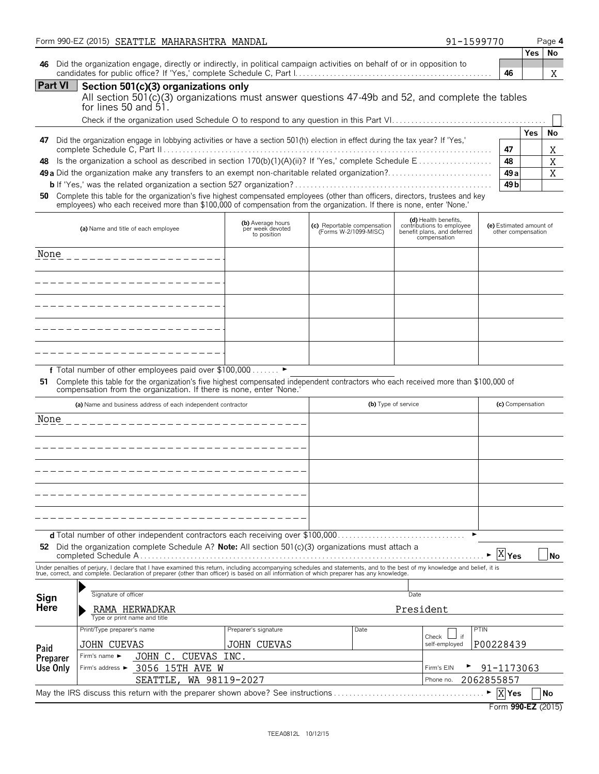|                     | Form 990-EZ (2015) SEATTLE MAHARASHTRA MANDAL                                                                                                                                                                                                              |                                                      |                                                      | 91-1599770                                                                                       |                                               | Page 4     |                  |
|---------------------|------------------------------------------------------------------------------------------------------------------------------------------------------------------------------------------------------------------------------------------------------------|------------------------------------------------------|------------------------------------------------------|--------------------------------------------------------------------------------------------------|-----------------------------------------------|------------|------------------|
| 46                  | Did the organization engage, directly or indirectly, in political campaign activities on behalf of or in opposition to                                                                                                                                     |                                                      |                                                      |                                                                                                  | 46                                            | <b>Yes</b> | No<br>X          |
| <b>Part VI</b>      | Section 501(c)(3) organizations only<br>All section 501(c)(3) organizations must answer questions 47-49b and 52, and complete the tables<br>for lines 50 and 51.                                                                                           |                                                      |                                                      |                                                                                                  |                                               |            |                  |
|                     |                                                                                                                                                                                                                                                            |                                                      |                                                      |                                                                                                  |                                               | <b>Yes</b> | No               |
|                     | 47 Did the organization engage in lobbying activities or have a section 501(h) election in effect during the tax year? If 'Yes,'                                                                                                                           |                                                      |                                                      |                                                                                                  | 47                                            |            | Χ                |
| 48                  |                                                                                                                                                                                                                                                            |                                                      |                                                      |                                                                                                  | 48<br>49 a                                    |            | $\mathbf X$<br>X |
|                     |                                                                                                                                                                                                                                                            |                                                      |                                                      |                                                                                                  | 49 <sub>b</sub>                               |            |                  |
| 50                  | Complete this table for the organization's five highest compensated employees (other than officers, directors, trustees and key<br>employees) who each received more than \$100,000 of compensation from the organization. If there is none, enter 'None.' |                                                      |                                                      |                                                                                                  |                                               |            |                  |
|                     | (a) Name and title of each employee                                                                                                                                                                                                                        | (b) Average hours<br>per week devoted<br>to position | (c) Reportable compensation<br>(Forms W-2/1099-MISC) | (d) Health benefits,<br>contributions to employee<br>benefit plans, and deferred<br>compensation | (e) Estimated amount of<br>other compensation |            |                  |
| None                |                                                                                                                                                                                                                                                            |                                                      |                                                      |                                                                                                  |                                               |            |                  |
|                     |                                                                                                                                                                                                                                                            |                                                      |                                                      |                                                                                                  |                                               |            |                  |
|                     |                                                                                                                                                                                                                                                            |                                                      |                                                      |                                                                                                  |                                               |            |                  |
|                     |                                                                                                                                                                                                                                                            |                                                      |                                                      |                                                                                                  |                                               |            |                  |
|                     |                                                                                                                                                                                                                                                            |                                                      |                                                      |                                                                                                  |                                               |            |                  |
|                     |                                                                                                                                                                                                                                                            |                                                      |                                                      |                                                                                                  |                                               |            |                  |
|                     |                                                                                                                                                                                                                                                            |                                                      |                                                      |                                                                                                  |                                               |            |                  |
|                     | f Total number of other employees paid over \$100,000 ▶<br>51 Complete this table for the organization's five highest compensated independent contractors who each received more than \$100,000 of                                                         |                                                      |                                                      |                                                                                                  |                                               |            |                  |
|                     | compensation from the organization. If there is none, enter 'None.'                                                                                                                                                                                        |                                                      |                                                      |                                                                                                  |                                               |            |                  |
|                     | (a) Name and business address of each independent contractor                                                                                                                                                                                               |                                                      |                                                      | (b) Type of service                                                                              | (c) Compensation                              |            |                  |
| None                |                                                                                                                                                                                                                                                            |                                                      |                                                      |                                                                                                  |                                               |            |                  |
|                     |                                                                                                                                                                                                                                                            |                                                      |                                                      |                                                                                                  |                                               |            |                  |
|                     |                                                                                                                                                                                                                                                            |                                                      |                                                      |                                                                                                  |                                               |            |                  |
|                     |                                                                                                                                                                                                                                                            |                                                      |                                                      |                                                                                                  |                                               |            |                  |
|                     |                                                                                                                                                                                                                                                            |                                                      |                                                      |                                                                                                  |                                               |            |                  |
|                     |                                                                                                                                                                                                                                                            |                                                      |                                                      |                                                                                                  |                                               |            |                  |
|                     |                                                                                                                                                                                                                                                            |                                                      |                                                      |                                                                                                  |                                               |            |                  |
|                     | 52 Did the organization complete Schedule A? Note: All section 501(c)(3) organizations must attach a                                                                                                                                                       |                                                      |                                                      |                                                                                                  | $\overline{X} _{\text{Yes}}$                  |            | No               |
|                     | Under penalties of perjury, I declare that I have examined this return, including accompanying schedules and statements, and to the best of my knowledge and belief, it is<br>true, correct, and complete. Declaration of prepare                          |                                                      |                                                      |                                                                                                  |                                               |            |                  |
|                     | Signature of officer                                                                                                                                                                                                                                       |                                                      |                                                      | Date                                                                                             |                                               |            |                  |
| Sign<br><b>Here</b> | RAMA HERWADKAR                                                                                                                                                                                                                                             |                                                      |                                                      | President                                                                                        |                                               |            |                  |
|                     | Type or print name and title<br>Print/Type preparer's name                                                                                                                                                                                                 | Preparer's signature                                 | Date                                                 |                                                                                                  | <b>PTIN</b>                                   |            |                  |
|                     | JOHN CUEVAS                                                                                                                                                                                                                                                | JOHN CUEVAS                                          |                                                      | Check<br>⊿ if<br>self-employed                                                                   | P00228439                                     |            |                  |
| Paid<br>Preparer    | CUEVAS INC.<br>JOHN C.<br>Firm's name ►                                                                                                                                                                                                                    |                                                      |                                                      |                                                                                                  |                                               |            |                  |
| Use Only            | 3056 15TH AVE W<br>Firm's address ▶                                                                                                                                                                                                                        |                                                      |                                                      | Firm's EIN                                                                                       | 91-1173063                                    |            |                  |
|                     | SEATTLE,                                                                                                                                                                                                                                                   | WA 98119-2027                                        |                                                      | Phone no.                                                                                        | 2062855857<br>$\blacktriangleright$  X Yes    | No         |                  |
|                     |                                                                                                                                                                                                                                                            |                                                      |                                                      |                                                                                                  | Form 990-EZ (2015)                            |            |                  |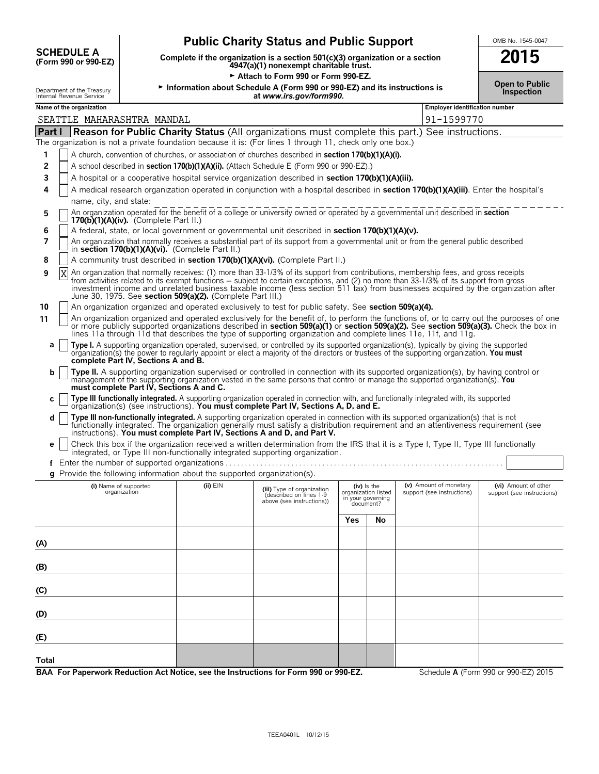|                                                 | <u>.</u>          |
|-------------------------------------------------|-------------------|
| <b>Public Charity Status and Public Support</b> | OMB No. 1545-0047 |

Complete if the organization is a section 501(c)(3) organization or a section **2015**<br>4947(a)(1) nonexempt charitable trust.

Attach to Form 990 or Form 990-EZ.

|  |  | UMB NO. 1545-0047 |  |
|--|--|-------------------|--|
|  |  |                   |  |

|  | <b>Open to Public</b> |
|--|-----------------------|
|  | <b>Inspection</b>     |

**SCHEDULE A**<br>(Form 990 or 990-EZ)

| Department of the Treasury | Information about Schedule A (Form 990 or 990-EZ) and its instructions is |  |  |
|----------------------------|---------------------------------------------------------------------------|--|--|
| Internal Revenue Service   | at www.irs.gov/form990.                                                   |  |  |
| Name of the organization   | <b>Employer identification number</b>                                     |  |  |

|              | SEATTLE MAHARASHTRA MANDAL                                                                                                                                                                                                                                                                                                                                                                                                                                                         |              |                                                                                    |                                          |                          | 91-1599770                                           |                                                    |  |
|--------------|------------------------------------------------------------------------------------------------------------------------------------------------------------------------------------------------------------------------------------------------------------------------------------------------------------------------------------------------------------------------------------------------------------------------------------------------------------------------------------|--------------|------------------------------------------------------------------------------------|------------------------------------------|--------------------------|------------------------------------------------------|----------------------------------------------------|--|
| Part I       | Reason for Public Charity Status (All organizations must complete this part.) See instructions.                                                                                                                                                                                                                                                                                                                                                                                    |              |                                                                                    |                                          |                          |                                                      |                                                    |  |
|              | The organization is not a private foundation because it is: (For lines 1 through 11, check only one box.)                                                                                                                                                                                                                                                                                                                                                                          |              |                                                                                    |                                          |                          |                                                      |                                                    |  |
| 1            | A church, convention of churches, or association of churches described in <b>section 170(b)(1)(A)(i)</b> .                                                                                                                                                                                                                                                                                                                                                                         |              |                                                                                    |                                          |                          |                                                      |                                                    |  |
| 2            | A school described in section 170(b)(1)(A)(ii). (Attach Schedule E (Form 990 or 990-EZ).)                                                                                                                                                                                                                                                                                                                                                                                          |              |                                                                                    |                                          |                          |                                                      |                                                    |  |
| 3            | A hospital or a cooperative hospital service organization described in section 170(b)(1)(A)(iii).                                                                                                                                                                                                                                                                                                                                                                                  |              |                                                                                    |                                          |                          |                                                      |                                                    |  |
| 4            | A medical research organization operated in conjunction with a hospital described in section 170(b)(1)(A)(iii). Enter the hospital's                                                                                                                                                                                                                                                                                                                                               |              |                                                                                    |                                          |                          |                                                      |                                                    |  |
|              | name, city, and state:                                                                                                                                                                                                                                                                                                                                                                                                                                                             |              |                                                                                    |                                          |                          |                                                      |                                                    |  |
| 5            | An organization operated for the benefit of a college or university owned or operated by a governmental unit described in section<br>$170(b)(1)(A)(iv)$ . (Complete Part II.)                                                                                                                                                                                                                                                                                                      |              |                                                                                    |                                          |                          |                                                      |                                                    |  |
| 6            | A federal, state, or local government or governmental unit described in section 170(b)(1)(A)(v).                                                                                                                                                                                                                                                                                                                                                                                   |              |                                                                                    |                                          |                          |                                                      |                                                    |  |
| 7            | An organization that normally receives a substantial part of its support from a governmental unit or from the general public described<br>in section 170(b)(1)(A)(vi). (Complete Part II.)                                                                                                                                                                                                                                                                                         |              |                                                                                    |                                          |                          |                                                      |                                                    |  |
| 8            | A community trust described in section 170(b)(1)(A)(vi). (Complete Part II.)                                                                                                                                                                                                                                                                                                                                                                                                       |              |                                                                                    |                                          |                          |                                                      |                                                    |  |
| Χ<br>9       | An organization that normally receives: (1) more than 33-1/3% of its support from contributions, membership fees, and gross receipts<br>from activities related to its exempt functions – subject to certain exceptions, and (2) no more than 33-1/3% of its support from gross<br>investment income and unrelated business taxable income (less section 511 tax) from businesses acquired by the organization after<br>June 30, 1975. See section 509(a)(2). (Complete Part III.) |              |                                                                                    |                                          |                          |                                                      |                                                    |  |
| 10           | An organization organized and operated exclusively to test for public safety. See section 509(a)(4).                                                                                                                                                                                                                                                                                                                                                                               |              |                                                                                    |                                          |                          |                                                      |                                                    |  |
| 11           | An organization organized and operated exclusively for the benefit of, to perform the functions of, or to carry out the purposes of one<br>or more publicly supported organizations described in section 509(a)(1) or section 509(a)(2). See section 509(a)(3). Check the box in<br>lines 11a through 11d that describes the type of supporting organization and complete lines 11e, 11f, and 11g.                                                                                 |              |                                                                                    |                                          |                          |                                                      |                                                    |  |
| а            | Type I. A supporting organization operated, supervised, or controlled by its supported organization(s), typically by giving the supported<br>organization(s) the power to regularly appoint or elect a majority of the directors or trustees of the supporting organization. You must<br>complete Part IV, Sections A and B.                                                                                                                                                       |              |                                                                                    |                                          |                          |                                                      |                                                    |  |
| b            | Type II. A supporting organization supervised or controlled in connection with its supported organization(s), by having control or<br>management of the supporting organization vested in the same persons that control or manage the supported organization(s). You<br>must complete Part IV, Sections A and C.                                                                                                                                                                   |              |                                                                                    |                                          |                          |                                                      |                                                    |  |
| с            | Type III functionally integrated. A supporting organization operated in connection with, and functionally integrated with, its supported organization(s) (see instructions). You must complete Part IV, Sections A, D, and E.                                                                                                                                                                                                                                                      |              |                                                                                    |                                          |                          |                                                      |                                                    |  |
| d            | Type III non-functionally integrated. A supporting organization operated in connection with its supported organization(s) that is not<br>functionally integrated. The organization generally must satisfy a distribution requirement and an attentiveness requirement (see instructions). You must complete Part IV, Sections A and D, and Part V.                                                                                                                                 |              |                                                                                    |                                          |                          |                                                      |                                                    |  |
| e            | Check this box if the organization received a written determination from the IRS that it is a Type I, Type II, Type III functionally<br>integrated, or Type III non-functionally integrated supporting organization.                                                                                                                                                                                                                                                               |              |                                                                                    |                                          |                          |                                                      |                                                    |  |
|              | f Enter the number of supported organizations                                                                                                                                                                                                                                                                                                                                                                                                                                      |              |                                                                                    |                                          |                          |                                                      |                                                    |  |
|              | $q$ Provide the following information about the supported organization(s).                                                                                                                                                                                                                                                                                                                                                                                                         |              |                                                                                    |                                          |                          |                                                      |                                                    |  |
|              | (i) Name of supported<br>organization                                                                                                                                                                                                                                                                                                                                                                                                                                              | $(ii)$ $EIN$ | (iii) Type of organization<br>(described on lines 1-9<br>above (see instructions)) | organization listed<br>in your governing | (iv) Is the<br>document? | (v) Amount of monetary<br>support (see instructions) | (vi) Amount of other<br>support (see instructions) |  |
|              |                                                                                                                                                                                                                                                                                                                                                                                                                                                                                    |              |                                                                                    | Yes                                      | No                       |                                                      |                                                    |  |
| (A)          |                                                                                                                                                                                                                                                                                                                                                                                                                                                                                    |              |                                                                                    |                                          |                          |                                                      |                                                    |  |
| (B)          |                                                                                                                                                                                                                                                                                                                                                                                                                                                                                    |              |                                                                                    |                                          |                          |                                                      |                                                    |  |
| (C)          |                                                                                                                                                                                                                                                                                                                                                                                                                                                                                    |              |                                                                                    |                                          |                          |                                                      |                                                    |  |
| (D)          |                                                                                                                                                                                                                                                                                                                                                                                                                                                                                    |              |                                                                                    |                                          |                          |                                                      |                                                    |  |
| (E)          |                                                                                                                                                                                                                                                                                                                                                                                                                                                                                    |              |                                                                                    |                                          |                          |                                                      |                                                    |  |
| <b>Total</b> |                                                                                                                                                                                                                                                                                                                                                                                                                                                                                    |              |                                                                                    |                                          |                          |                                                      |                                                    |  |
|              | BAA For Paperwork Reduction Act Notice, see the Instructions for Form 990 or 990-EZ.                                                                                                                                                                                                                                                                                                                                                                                               |              |                                                                                    |                                          |                          |                                                      | Schedule A (Form 990 or 990-EZ) 2015               |  |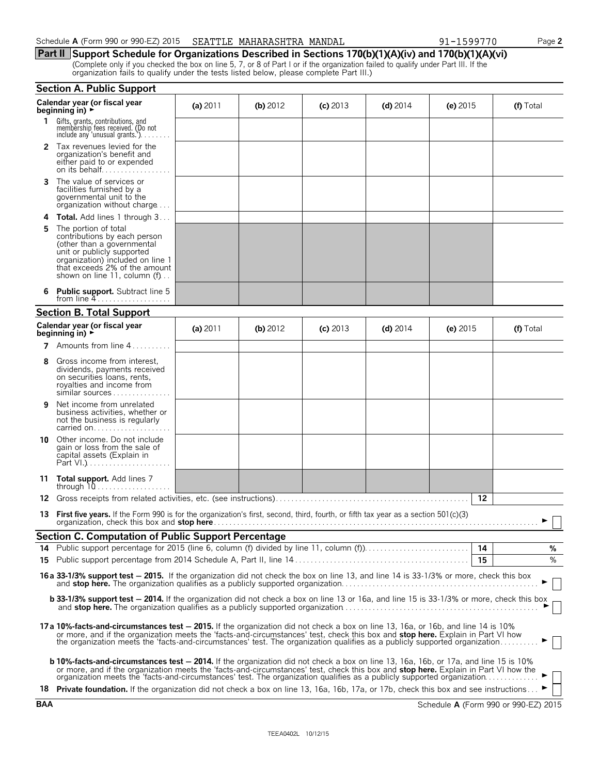#### Schedule **A** (Form 990 or 990-EZ) 2015 SEATTLE MAHARASHTRA MANDAL 91-1599770 Page 2

**Part II Support Schedule for Organizations Described in Sections 170(b)(1)(A)(iv) and 170(b)(1)(A)(vi)** (Complete only if you checked the box on line 5, 7, or 8 of Part I or if the organization failed to qualify under Part III. If the organization fails to qualify under the tests listed below, please complete Part III.)

|    | <b>Section A. Public Support</b>                                                                                                                                                                                                                                                                                                                                                                            |            |            |            |            |            |           |  |  |
|----|-------------------------------------------------------------------------------------------------------------------------------------------------------------------------------------------------------------------------------------------------------------------------------------------------------------------------------------------------------------------------------------------------------------|------------|------------|------------|------------|------------|-----------|--|--|
|    | Calendar year (or fiscal year<br>beginning in) $\rightarrow$                                                                                                                                                                                                                                                                                                                                                | (a) $2011$ | (b) $2012$ | $(c)$ 2013 | $(d)$ 2014 | (e) $2015$ | (f) Total |  |  |
| 1. | Gifts, grants, contributions, and<br>membership fees received. (Do not<br>include any 'unusual grants.')                                                                                                                                                                                                                                                                                                    |            |            |            |            |            |           |  |  |
|    | <b>2</b> Tax revenues levied for the<br>organization's benefit and<br>either paid to or expended<br>on its behalf                                                                                                                                                                                                                                                                                           |            |            |            |            |            |           |  |  |
| 3  | The value of services or<br>facilities furnished by a<br>governmental unit to the<br>organization without charge                                                                                                                                                                                                                                                                                            |            |            |            |            |            |           |  |  |
| 4  | <b>Total.</b> Add lines 1 through 3                                                                                                                                                                                                                                                                                                                                                                         |            |            |            |            |            |           |  |  |
| 5  | The portion of total<br>contributions by each person<br>(other than a governmental<br>unit or publicly supported<br>organization) included on line 1<br>that exceeds 2% of the amount<br>shown on line 11, column $(f)$                                                                                                                                                                                     |            |            |            |            |            |           |  |  |
|    | <b>Public support.</b> Subtract line 5                                                                                                                                                                                                                                                                                                                                                                      |            |            |            |            |            |           |  |  |
|    | <b>Section B. Total Support</b>                                                                                                                                                                                                                                                                                                                                                                             |            |            |            |            |            |           |  |  |
|    | Calendar year (or fiscal year<br>beginning in) $\rightarrow$                                                                                                                                                                                                                                                                                                                                                | (a) $2011$ | (b) 2012   | $(c)$ 2013 | $(d)$ 2014 | (e) $2015$ | (f) Total |  |  |
| 7  | Amounts from line 4                                                                                                                                                                                                                                                                                                                                                                                         |            |            |            |            |            |           |  |  |
| 8  | Gross income from interest,<br>dividends, payments received<br>on securities loans, rents,<br>royalties and income from<br>similar sources                                                                                                                                                                                                                                                                  |            |            |            |            |            |           |  |  |
| 9  | Net income from unrelated<br>business activities, whether or<br>not the business is regularly<br>carried on                                                                                                                                                                                                                                                                                                 |            |            |            |            |            |           |  |  |
| 10 | Other income. Do not include<br>gain or loss from the sale of<br>capital assets (Explain in                                                                                                                                                                                                                                                                                                                 |            |            |            |            |            |           |  |  |
| 11 | Total support. Add lines 7<br>through $10$                                                                                                                                                                                                                                                                                                                                                                  |            |            |            |            |            |           |  |  |
| 12 |                                                                                                                                                                                                                                                                                                                                                                                                             |            |            |            |            | 12         |           |  |  |
| 13 | <b>First five years.</b> If the Form 990 is for the organization's first, second, third, fourth, or fifth tax year as a section $501(c)(3)$<br>organization, check this box and stop here.                                                                                                                                                                                                                  |            |            |            |            |            |           |  |  |
|    | <b>Section C. Computation of Public Support Percentage</b>                                                                                                                                                                                                                                                                                                                                                  |            |            |            |            |            |           |  |  |
|    |                                                                                                                                                                                                                                                                                                                                                                                                             |            |            |            |            |            | %<br>$\%$ |  |  |
|    |                                                                                                                                                                                                                                                                                                                                                                                                             |            |            |            |            | 15         |           |  |  |
|    | 16a 33-1/3% support test - 2015. If the organization did not check the box on line 13, and line 14 is 33-1/3% or more, check this box                                                                                                                                                                                                                                                                       |            |            |            |            |            |           |  |  |
|    | <b>b 33-1/3% support test - 2014.</b> If the organization did not check a box on line 13 or 16a, and line 15 is 33-1/3% or more, check this box<br>$\vert \ \ \vert$                                                                                                                                                                                                                                        |            |            |            |            |            |           |  |  |
|    | 17a 10%-facts-and-circumstances test - 2015. If the organization did not check a box on line 13, 16a, or 16b, and line 14 is 10%<br>or more, and if the organization meets the 'facts-and-circumstances' test, check this box and stop here. Explain in Part VI how<br>the organization meets the 'facts-and-circumstances' test. The organization qualifies as a publicly supported organization           |            |            |            |            |            |           |  |  |
|    | <b>b 10%-facts-and-circumstances test - 2014.</b> If the organization did not check a box on line 13, 16a, 16b, or 17a, and line 15 is 10%<br>or more, and if the organization meets the 'facts-and-circumstances' test, check this box and stop here. Explain in Part VI how the<br>organization meets the 'facts-and-circumstances' test. The organization qualifies as a publicly supported organization |            |            |            |            |            |           |  |  |
|    | 18 Private foundation. If the organization did not check a box on line 13, 16a, 16b, 17a, or 17b, check this box and see instructions                                                                                                                                                                                                                                                                       |            |            |            |            |            |           |  |  |

**BAA** Schedule **A** (Form 990 or 990-EZ) 2015

| aa |
|----|
|    |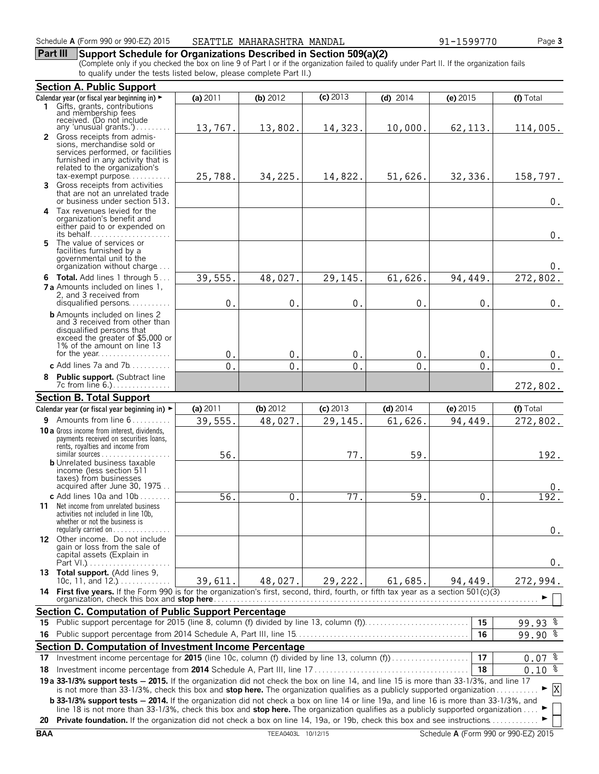#### **Part III Support Schedule for Organizations Described in Section 509(a)(2)**

(Complete only if you checked the box on line 9 of Part I or if the organization failed to qualify under Part II. If the organization fails to qualify under the tests listed below, please complete Part II.)

|          | <b>Section A. Public Support</b>                                                                                                                                                                                                                                        |                |                |               |                |                |                                  |
|----------|-------------------------------------------------------------------------------------------------------------------------------------------------------------------------------------------------------------------------------------------------------------------------|----------------|----------------|---------------|----------------|----------------|----------------------------------|
|          | Calendar year (or fiscal year beginning in) ►                                                                                                                                                                                                                           | (a) 2011       | (b) $2012$     | $(c)$ 2013    | $(d)$ 2014     | (e) $2015$     | (f) Total                        |
| 1.       | Gifts, grants, contributions<br>and membership fees<br>received. (Do not include<br>any 'unusual grants.')                                                                                                                                                              | 13,767.        | 13,802.        | 14,323.       | 10,000.        | 62, 113.       | 114,005.                         |
|          | 2 Gross receipts from admis-<br>sions, merchandise sold or<br>services performed, or facilities<br>furnished in any activity that is<br>related to the organization's<br>$tax\text{-}exempt$ purpose                                                                    | 25,788.        | 34,225.        | 14,822.       | 51,626.        | 32,336.        | 158,797.                         |
|          | 3 Gross receipts from activities<br>that are not an unrelated trade<br>or business under section 513.                                                                                                                                                                   |                |                |               |                |                | $0$ .                            |
|          | 4 Tax revenues levied for the<br>organization's benefit and<br>either paid to or expended on<br>its behalf                                                                                                                                                              |                |                |               |                |                | $0$ .                            |
| 5.       | The value of services or<br>facilities furnished by a<br>governmental unit to the<br>organization without charge                                                                                                                                                        |                |                |               |                |                | 0.                               |
|          | 6 Total. Add lines 1 through 5                                                                                                                                                                                                                                          | 39,555         | 48,027.        | 29,145.       | 61,626.        | 94,449.        | 272,802.                         |
|          | <b>7 a</b> Amounts included on lines 1,<br>2. and 3 received from<br>disqualified persons                                                                                                                                                                               | $\mathsf{O}$ . | $\mathbf{0}$   | $\mathbf 0$ . | $\mathbf{0}$   | $\mathbf 0$ .  | $0$ .                            |
|          | <b>b</b> Amounts included on lines 2<br>and 3 received from other than<br>disqualified persons that<br>exceed the greater of \$5,000 or<br>1% of the amount on line 13                                                                                                  |                |                |               |                |                |                                  |
|          |                                                                                                                                                                                                                                                                         | $\mathbf 0$ .  | $\mathbf{0}$   | $\mathbf 0$ . | $\mathbf{0}$   | $\mathbf{0}$   | 0.                               |
|          | c Add lines 7a and $7b$                                                                                                                                                                                                                                                 | 0.             | $\mathbf{0}$ . | $\mathbf{0}$  | $\mathbf{0}$ . | $\theta$ .     | $0$ .                            |
|          | 8 Public support. (Subtract line<br>7c from line 6.)<br><b>Section B. Total Support</b>                                                                                                                                                                                 |                |                |               |                |                | 272,802.                         |
|          | Calendar year (or fiscal year beginning in) ►                                                                                                                                                                                                                           | (a) 2011       | $(b)$ 2012     | $(c)$ 2013    | $(d)$ 2014     | (e) 2015       | (f) Total                        |
|          | 9 Amounts from line 6                                                                                                                                                                                                                                                   | 39,555.        | 48,027.        | 29,145.       | 61,626.        | 94,449.        | 272,802.                         |
|          | <b>10 a</b> Gross income from interest, dividends,<br>payments received on securities loans,<br>rents, royalties and income from<br>$similar$ sources                                                                                                                   | 56             |                | 77.           | 59             |                | 192.                             |
|          | <b>b</b> Unrelated business taxable<br>income (less section 511<br>taxes) from businesses<br>acquired after June 30, 1975                                                                                                                                               |                |                |               |                |                | 0.                               |
|          | c Add lines $10a$ and $10b$<br>11 Net income from unrelated business<br>activities not included in line 10b,<br>whether or not the business is<br>regularly carried on $\dots\dots\dots\dots\dots$                                                                      | 56.            | $\mathbf 0$ .  | 77.           | 59.            | 0 <sub>1</sub> | 192.<br>0.                       |
|          | 12 Other income. Do not include<br>gain or loss from the sale of<br>capital assets (Explain in                                                                                                                                                                          |                |                |               |                |                | 0.                               |
|          | 13 Total support. (Add lines 9,<br>10c, 11, and 12.)                                                                                                                                                                                                                    | 39,611.        | 48,027.        | 29,222.       | 61,685.        | 94,449.        | 272,994.                         |
|          | 14 First five years. If the Form 990 is for the organization's first, second, third, fourth, or fifth tax year as a section 501(c)(3)                                                                                                                                   |                |                |               |                |                |                                  |
|          | Section C. Computation of Public Support Percentage                                                                                                                                                                                                                     |                |                |               |                |                |                                  |
| 15.      | Public support percentage for 2015 (line 8, column (f) divided by line 13, column (f)                                                                                                                                                                                   |                |                |               |                | 15             | $99.93$ $%$                      |
| 16       |                                                                                                                                                                                                                                                                         |                |                |               |                | 16             | $99.90$ $8$                      |
|          | Section D. Computation of Investment Income Percentage                                                                                                                                                                                                                  |                |                |               |                | 17             |                                  |
| 17<br>18 | Investment income percentage for 2015 (line 10c, column (f) divided by line 13, column (f))                                                                                                                                                                             |                |                |               |                | 18             | ್ಠೆ<br>0.07<br>$0.10\frac{2}{3}$ |
|          | 19 a 33-1/3% support tests - 2015. If the organization did not check the box on line 14, and line 15 is more than 33-1/3%, and line 17                                                                                                                                  |                |                |               |                |                |                                  |
|          | is not more than 33-1/3%, check this box and stop here. The organization qualifies as a publicly supported organization<br><b>b 33-1/3% support tests - 2014.</b> If the organization did not check a box on line 14 or line 19a, and line 16 is more than 33-1/3%, and |                |                |               |                |                | X                                |
|          | line 18 is not more than 33-1/3%, check this box and stop here. The organization qualifies as a publicly supported organization<br>20 Private foundation. If the organization did not check a box on line 14, 19a, or 19b, check this box and see instructions          |                |                |               |                |                |                                  |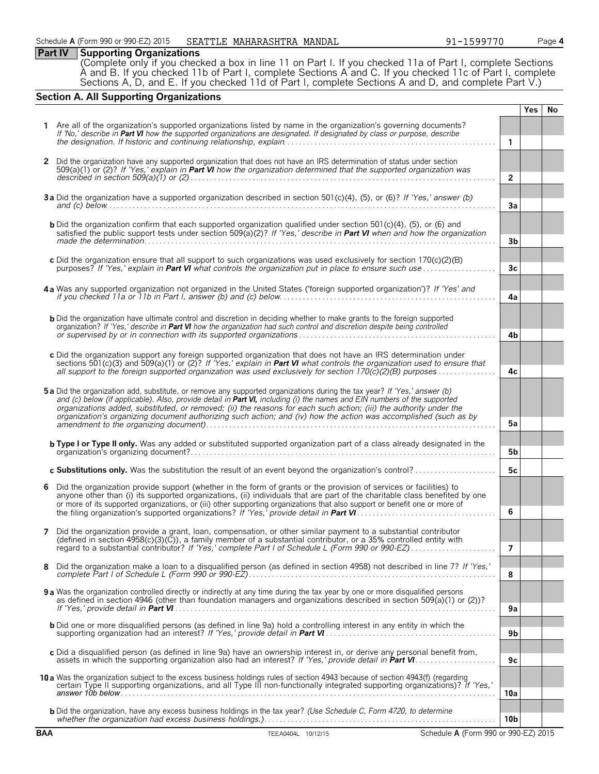### **Part IV Supporting Organizations**

(Complete only if you checked a box in line 11 on Part I. If you checked 11a of Part I, complete Sections A and B. If you checked 11b of Part I, complete Sections A and C. If you checked 11c of Part I, complete Sections A, D, and E. If you checked 11d of Part I, complete Sections A and D, and complete Part V.)

### **Section A. All Supporting Organizations**

|              |                                                                                                                                                                                                                                                                                                                                                                                                                                                                                                |                 | <b>Yes</b> | No |
|--------------|------------------------------------------------------------------------------------------------------------------------------------------------------------------------------------------------------------------------------------------------------------------------------------------------------------------------------------------------------------------------------------------------------------------------------------------------------------------------------------------------|-----------------|------------|----|
|              | 1 Are all of the organization's supported organizations listed by name in the organization's governing documents?<br>If 'No,' describe in Part VI how the supported organizations are designated. If designated by class or purpose, describe                                                                                                                                                                                                                                                  | $\mathbf{1}$    |            |    |
| $\mathbf{2}$ | Did the organization have any supported organization that does not have an IRS determination of status under section<br>$509(a)(1)$ or (2)? If 'Yes,' explain in <b>Part VI</b> how the organization determined that the supported organization was                                                                                                                                                                                                                                            |                 |            |    |
|              |                                                                                                                                                                                                                                                                                                                                                                                                                                                                                                | $\overline{2}$  |            |    |
|              | 3a Did the organization have a supported organization described in section 501(c)(4), (5), or (6)? If 'Yes,' answer (b)                                                                                                                                                                                                                                                                                                                                                                        | 3a              |            |    |
|              | <b>b</b> Did the organization confirm that each supported organization qualified under section 501(c)(4), (5), or (6) and<br>satisfied the public support tests under section 509( $a(2)$ ? If 'Yes,' describe in <b>Part VI</b> when and how the organization                                                                                                                                                                                                                                 | 3b              |            |    |
|              | c Did the organization ensure that all support to such organizations was used exclusively for section 170(c)(2)(B)<br>purposes? If 'Yes,' explain in Part VI what controls the organization put in place to ensure such use matriconno                                                                                                                                                                                                                                                         | 3 <sub>c</sub>  |            |    |
|              | 4a Was any supported organization not organized in the United States ('foreign supported organization')? If 'Yes' and                                                                                                                                                                                                                                                                                                                                                                          | 4a              |            |    |
|              | <b>b</b> Did the organization have ultimate control and discretion in deciding whether to make grants to the foreign supported<br>organization? If 'Yes,' describe in Part VI how the organization had such control and discretion despite being controlled                                                                                                                                                                                                                                    | 4b              |            |    |
|              | c Did the organization support any foreign supported organization that does not have an IRS determination under<br>sections 501(c)(3) and 509(a)(1) or (2)? If 'Yes,' explain in <b>Part VI</b> what controls the organization used to ensure that<br>all support to the foreign supported organization was used exclusively for section $170(\tilde{c})(2)(B)$ purposes                                                                                                                       | 4c              |            |    |
|              | 5a Did the organization add, substitute, or remove any supported organizations during the tax year? If 'Yes,' answer (b)<br>and (c) below (if applicable). Also, provide detail in Part VI, including (i) the names and EIN numbers of the supported<br>organizations added, substituted, or removed; (ii) the reasons for each such action; (iii) the authority under the<br>organization's organizing document authorizing such action; and (iv) how the action was accomplished (such as by | 5a              |            |    |
|              | <b>b Type I or Type II only.</b> Was any added or substituted supported organization part of a class already designated in the                                                                                                                                                                                                                                                                                                                                                                 | 5b              |            |    |
|              | c Substitutions only. Was the substitution the result of an event beyond the organization's control?                                                                                                                                                                                                                                                                                                                                                                                           | 5c              |            |    |
| 6            | Did the organization provide support (whether in the form of grants or the provision of services or facilities) to<br>anyone other than (i) its supported organizations, (ii) individuals that are part of the charitable class benefited by one<br>or more of its supported organizations, or (iii) other supporting organizations that also support or benefit one or more of                                                                                                                | 6               |            |    |
|              | Did the organization provide a grant, loan, compensation, or other similar payment to a substantial contributor<br>(defined in section 4958(c)(3)(C)), a family member of a substantial contributor, or a 35% controlled entity with<br>regard to a substantial contributor? If 'Yes,' complete Part I of Schedule L (Form 990 or 990-EZ)                                                                                                                                                      | $\overline{7}$  |            |    |
| 8            | Did the organization make a loan to a disqualified person (as defined in section 4958) not described in line 7? If 'Yes,'                                                                                                                                                                                                                                                                                                                                                                      | 8               |            |    |
|              | 9 a Was the organization controlled directly or indirectly at any time during the tax year by one or more disqualified persons<br>as defined in section 4946 (other than foundation managers and organizations described in section 509(a)(1) or (2))?                                                                                                                                                                                                                                         | 9а              |            |    |
|              | <b>b</b> Did one or more disqualified persons (as defined in line 9a) hold a controlling interest in any entity in which the                                                                                                                                                                                                                                                                                                                                                                   | 9b              |            |    |
|              | c Did a disqualified person (as defined in line 9a) have an ownership interest in, or derive any personal benefit from,<br>assets in which the supporting organization also had an interest? If 'Yes,' provide detail in Part VI.                                                                                                                                                                                                                                                              | 9c              |            |    |
|              | 10 a Was the organization subject to the excess business holdings rules of section 4943 because of section 4943(f) (regarding<br>certain Type II supporting organizations, and all Type III non-functionally integrated supporting organizations)? If 'Yes,'                                                                                                                                                                                                                                   | 10a             |            |    |
|              | <b>b</b> Did the organization, have any excess business holdings in the tax year? (Use Schedule C, Form 4720, to determine                                                                                                                                                                                                                                                                                                                                                                     | 10 <sub>b</sub> |            |    |
| <b>BAA</b>   | Schedule A (Form 990 or 990-EZ) 2015<br>TEEA0404L 10/12/15                                                                                                                                                                                                                                                                                                                                                                                                                                     |                 |            |    |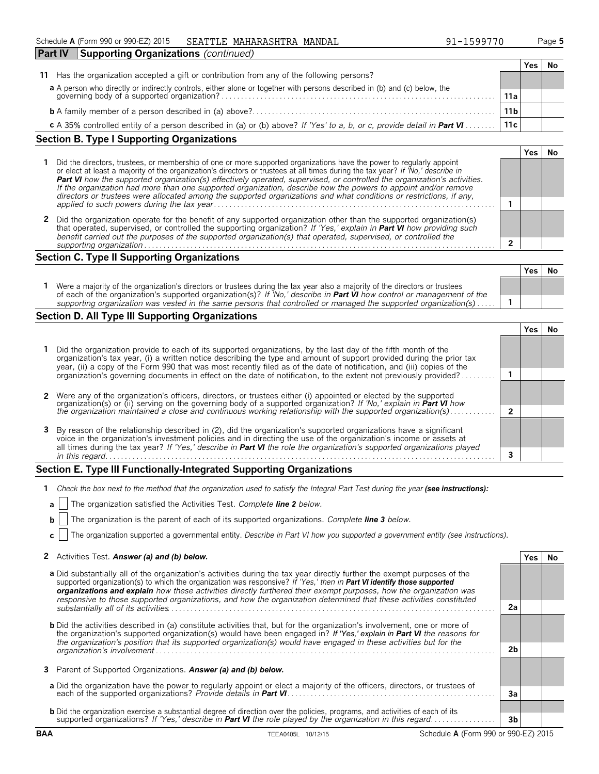| Schedule A (Form 990 or 990-EZ) 2015<br><b>SEATTLE</b> | MAHARASHTRA | MANDAL | 599770 | Page 5 |
|--------------------------------------------------------|-------------|--------|--------|--------|
|--------------------------------------------------------|-------------|--------|--------|--------|

| <b>Part IV</b><br><b>Supporting Organizations (continued)</b>                                                                                                         |                 |     |  |
|-----------------------------------------------------------------------------------------------------------------------------------------------------------------------|-----------------|-----|--|
|                                                                                                                                                                       |                 | Yes |  |
| Has the organization accepted a gift or contribution from any of the following persons?<br>11                                                                         |                 |     |  |
|                                                                                                                                                                       |                 |     |  |
| a A person who directly or indirectly controls, either alone or together with persons described in (b) and (c) below, the governing body of a supported organization? | 11a             |     |  |
|                                                                                                                                                                       | 11 <sub>b</sub> |     |  |
| c A 35% controlled entity of a person described in (a) or (b) above? If 'Yes' to a, b, or c, provide detail in <b>Part VI</b>                                         | 11c             |     |  |
|                                                                                                                                                                       |                 |     |  |

# **Section B. Type I Supporting Organizations**

| Did the directors, trustees, or membership of one or more supported organizations have the power to regularly appoint<br>or elect at least a majority of the organization's directors or trustees at all times during the tax year? If 'No,' describe in<br>Part VI how the supported organization(s) effectively operated, supervised, or controlled the organization's activities.<br>If the organization had more than one supported organization, describe how the powers to appoint and/or remove<br>directors or trustees were allocated among the supported organizations and what conditions or restrictions, if any, |  |  |  |
|-------------------------------------------------------------------------------------------------------------------------------------------------------------------------------------------------------------------------------------------------------------------------------------------------------------------------------------------------------------------------------------------------------------------------------------------------------------------------------------------------------------------------------------------------------------------------------------------------------------------------------|--|--|--|
| Did the organization operate for the benefit of any supported organization other than the supported organization(s)<br>that operated, supervised, or controlled the supporting organization? If 'Yes,' explain in Part VI how providing such<br>benefit carried out the purposes of the supported organization(s) that operated, supervised, or controlled the                                                                                                                                                                                                                                                                |  |  |  |
| supporting organization                                                                                                                                                                                                                                                                                                                                                                                                                                                                                                                                                                                                       |  |  |  |

## **Section C. Type II Supporting Organizations**

|                                                                                                                                                                                                                                                               | Yes | Νc |
|---------------------------------------------------------------------------------------------------------------------------------------------------------------------------------------------------------------------------------------------------------------|-----|----|
| Were a majority of the organization's directors or trustees during the tax year also a majority of the directors or trustees<br>of each of the organization's supported organization(s)? If 'No,' describe in <b>Part VI</b> how control or management of the |     |    |
| supporting organization was vested in the same persons that controlled or managed the supported organization(s)                                                                                                                                               |     |    |

# **Section D. All Type III Supporting Organizations**

| Did the organization provide to each of its supported organizations, by the last day of the fifth month of the<br>organization's tax year, (i) a written notice describing the type and amount of support provided during the prior tax<br>year, (ii) a copy of the Form 990 that was most recently filed as of the date of notification, and (iii) copies of the    |  |  |
|----------------------------------------------------------------------------------------------------------------------------------------------------------------------------------------------------------------------------------------------------------------------------------------------------------------------------------------------------------------------|--|--|
| organization's governing documents in effect on the date of notification, to the extent not previously provided?                                                                                                                                                                                                                                                     |  |  |
|                                                                                                                                                                                                                                                                                                                                                                      |  |  |
| 2 Were any of the organization's officers, directors, or trustees either (i) appointed or elected by the supported                                                                                                                                                                                                                                                   |  |  |
| organization(s) or (ii) serving on the governing body of a supported organization? If 'No,' explain in Part VI how<br>the organization maintained a close and continuous working relationship with the supported organization(s)                                                                                                                                     |  |  |
| 3 By reason of the relationship described in (2), did the organization's supported organizations have a significant<br>voice in the organization's investment policies and in directing the use of the organization's income or assets at<br>all times during the tax year? If 'Yes,' describe in Part VI the role the organization's supported organizations played |  |  |
| in this regard.                                                                                                                                                                                                                                                                                                                                                      |  |  |

## **Section E. Type III Functionally-Integrated Supporting Organizations**

| 1 Check the box next to the method that the organization used to satisfy the Integral Part Test during the year (see instructions): |  |  |
|-------------------------------------------------------------------------------------------------------------------------------------|--|--|
|                                                                                                                                     |  |  |

|  | <b>a</b>     The organization satisfied the Activities Test. Complete line 2 below. |  |  |
|--|-------------------------------------------------------------------------------------|--|--|
|  |                                                                                     |  |  |

|  |  | <b>b</b> $ $ The organization is the parent of each of its supported organizations. Complete line 3 below. |  |
|--|--|------------------------------------------------------------------------------------------------------------|--|
|  |  |                                                                                                            |  |

**c** The organization supported a governmental entity. *Describe in Part VI how you supported a government entity (see instructions).*

| 2 Activities Test. Answer (a) and (b) below. | Yes   No |  |
|----------------------------------------------|----------|--|
|----------------------------------------------|----------|--|

| a Did substantially all of the organization's activities during the tax year directly further the exempt purposes of the<br>supported organization(s) to which the organization was responsive? If 'Yes,' then in <b>Part VI identify those supported</b><br>organizations and explain how these activities directly furthered their exempt purposes, how the organization was<br>responsive to those supported organizations, and how the organization determined that these activities constituted |                |  |
|------------------------------------------------------------------------------------------------------------------------------------------------------------------------------------------------------------------------------------------------------------------------------------------------------------------------------------------------------------------------------------------------------------------------------------------------------------------------------------------------------|----------------|--|
| substantially all of its activities                                                                                                                                                                                                                                                                                                                                                                                                                                                                  | 2a             |  |
| <b>b</b> Did the activities described in (a) constitute activities that, but for the organization's involvement, one or more of<br>the organization's supported organization(s) would have been engaged in? If 'Yes,' explain in Part VI the reasons for<br>the organization's position that its supported organization(s) would have engaged in these activities but for the                                                                                                                        |                |  |
|                                                                                                                                                                                                                                                                                                                                                                                                                                                                                                      | 2 <sub>b</sub> |  |
| 3 Parent of Supported Organizations. Answer (a) and (b) below.                                                                                                                                                                                                                                                                                                                                                                                                                                       |                |  |
| a Did the organization have the power to regularly appoint or elect a majority of the officers, directors, or trustees of                                                                                                                                                                                                                                                                                                                                                                            | Зa             |  |
| <b>b</b> Did the organization exercise a substantial degree of direction over the policies, programs, and activities of each of its                                                                                                                                                                                                                                                                                                                                                                  |                |  |
| supported organizations? If 'Yes,' describe in <b>Part VI</b> the role played by the organization in this regard                                                                                                                                                                                                                                                                                                                                                                                     | 3b             |  |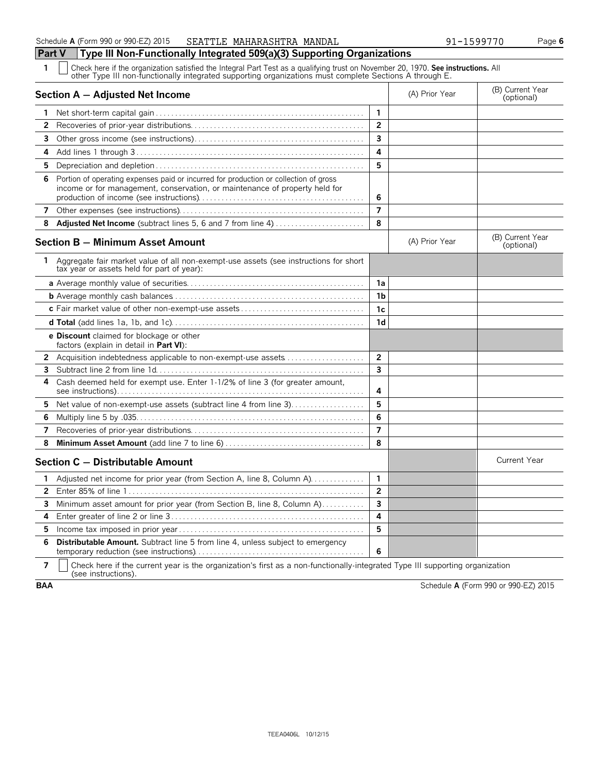**Part V Type III Non-Functionally Integrated 509(a)(3) Supporting Organizations**

**1** Check here if the organization satisfied the Integral Part Test as a qualifying trust on November 20, 1970. **See instructions.** All other Type III non-functionally integrated supporting organizations must complete Sections A through E.

|                       | Section A - Adjusted Net Income                                                                                                                                     |                         | (A) Prior Year | (B) Current Year<br>(optional) |
|-----------------------|---------------------------------------------------------------------------------------------------------------------------------------------------------------------|-------------------------|----------------|--------------------------------|
| 1                     |                                                                                                                                                                     | $\mathbf{1}$            |                |                                |
| $\mathbf{2}$          |                                                                                                                                                                     | $\overline{2}$          |                |                                |
| 3                     |                                                                                                                                                                     | 3                       |                |                                |
| 4                     |                                                                                                                                                                     | 4                       |                |                                |
| 5                     |                                                                                                                                                                     | 5                       |                |                                |
| 6                     | Portion of operating expenses paid or incurred for production or collection of gross<br>income or for management, conservation, or maintenance of property held for | 6                       |                |                                |
| 7                     |                                                                                                                                                                     | $\overline{7}$          |                |                                |
| 8                     | Adjusted Net Income (subtract lines 5, 6 and 7 from line 4)                                                                                                         | 8                       |                |                                |
|                       | Section B - Minimum Asset Amount                                                                                                                                    |                         | (A) Prior Year | (B) Current Year<br>(optional) |
| 1.                    | Aggregate fair market value of all non-exempt-use assets (see instructions for short<br>tax year or assets held for part of year):                                  |                         |                |                                |
|                       |                                                                                                                                                                     | 1a                      |                |                                |
|                       |                                                                                                                                                                     | 1b                      |                |                                |
|                       |                                                                                                                                                                     | 1c                      |                |                                |
|                       |                                                                                                                                                                     | 1 <sub>d</sub>          |                |                                |
|                       | <b>e Discount</b> claimed for blockage or other<br>factors (explain in detail in Part VI):                                                                          |                         |                |                                |
| $\mathbf{2}^{\prime}$ | Acquisition indebtedness applicable to non-exempt-use assets                                                                                                        | $\overline{2}$          |                |                                |
| 3                     |                                                                                                                                                                     | 3                       |                |                                |
| 4                     | Cash deemed held for exempt use. Enter 1-1/2% of line 3 (for greater amount,                                                                                        | 4                       |                |                                |
| 5                     | Net value of non-exempt-use assets (subtract line 4 from line 3)                                                                                                    | 5                       |                |                                |
| 6                     |                                                                                                                                                                     | 6                       |                |                                |
| 7                     |                                                                                                                                                                     | $\overline{7}$          |                |                                |
| 8                     |                                                                                                                                                                     | 8                       |                |                                |
|                       | Section C - Distributable Amount                                                                                                                                    |                         |                | <b>Current Year</b>            |
| 1                     | Adjusted net income for prior year (from Section A, line 8, Column A).                                                                                              | $\mathbf{1}$            |                |                                |
| $\overline{2}$        |                                                                                                                                                                     | $\overline{2}$          |                |                                |
| 3                     | Minimum asset amount for prior year (from Section B, line 8, Column A)                                                                                              | $\overline{\mathbf{3}}$ |                |                                |
| 4                     |                                                                                                                                                                     | 4                       |                |                                |
| 5                     |                                                                                                                                                                     | 5                       |                |                                |
| 6                     | <b>Distributable Amount.</b> Subtract line 5 from line 4, unless subject to emergency                                                                               | 6                       |                |                                |

**7**  $\mid$  Check here if the current year is the organization's first as a non-functionally-integrated Type III supporting organization (see instructions).

**BAA** Schedule **A** (Form 990 or 990-EZ) 2015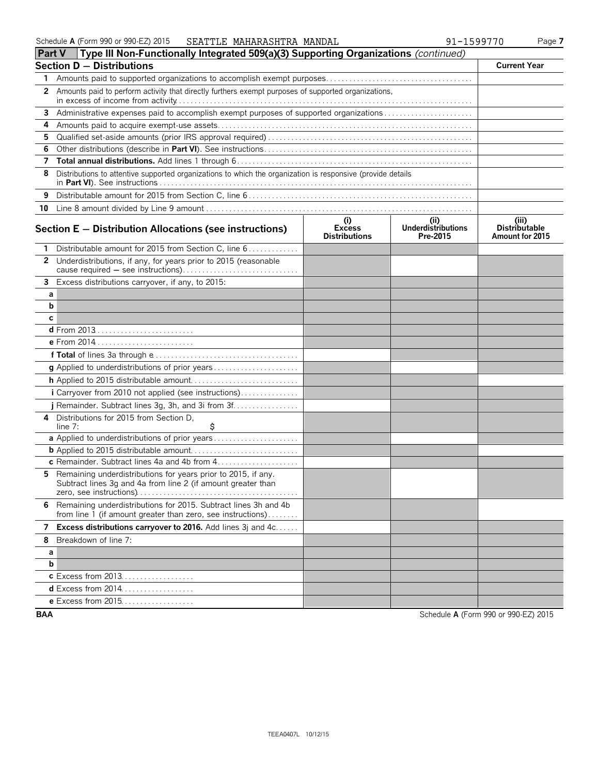| ∣ Part v | $\pm$ Lype III Non-Functionally integrated 509(a)(3) Supporting Organizations (continued)                                      |                                              |                                               |                                                  |  |  |  |
|----------|--------------------------------------------------------------------------------------------------------------------------------|----------------------------------------------|-----------------------------------------------|--------------------------------------------------|--|--|--|
|          | <b>Section D - Distributions</b>                                                                                               |                                              |                                               |                                                  |  |  |  |
| 1        |                                                                                                                                |                                              |                                               |                                                  |  |  |  |
|          | 2 Amounts paid to perform activity that directly furthers exempt purposes of supported organizations,                          |                                              |                                               |                                                  |  |  |  |
| 3        | Administrative expenses paid to accomplish exempt purposes of supported organizations                                          |                                              |                                               |                                                  |  |  |  |
| 4        |                                                                                                                                |                                              |                                               |                                                  |  |  |  |
| 5        |                                                                                                                                |                                              |                                               |                                                  |  |  |  |
| 6        |                                                                                                                                |                                              |                                               |                                                  |  |  |  |
| 7        |                                                                                                                                |                                              |                                               |                                                  |  |  |  |
| 8        | Distributions to attentive supported organizations to which the organization is responsive (provide details                    |                                              |                                               |                                                  |  |  |  |
| 9        |                                                                                                                                |                                              |                                               |                                                  |  |  |  |
|          |                                                                                                                                |                                              |                                               |                                                  |  |  |  |
|          | Section E - Distribution Allocations (see instructions)                                                                        | (i)<br><b>Excess</b><br><b>Distributions</b> | (ii)<br><b>Underdistributions</b><br>Pre-2015 | (iii)<br><b>Distributable</b><br>Amount for 2015 |  |  |  |
| 1        | Distributable amount for 2015 from Section C, line 6                                                                           |                                              |                                               |                                                  |  |  |  |
|          | 2 Underdistributions, if any, for years prior to 2015 (reasonable<br>cause required - see instructions)                        |                                              |                                               |                                                  |  |  |  |
| 3        | Excess distributions carryover, if any, to 2015:                                                                               |                                              |                                               |                                                  |  |  |  |
| а        |                                                                                                                                |                                              |                                               |                                                  |  |  |  |
| b        |                                                                                                                                |                                              |                                               |                                                  |  |  |  |
| c        |                                                                                                                                |                                              |                                               |                                                  |  |  |  |
|          | d From 2013                                                                                                                    |                                              |                                               |                                                  |  |  |  |
|          | e From 2014                                                                                                                    |                                              |                                               |                                                  |  |  |  |
|          |                                                                                                                                |                                              |                                               |                                                  |  |  |  |
|          |                                                                                                                                |                                              |                                               |                                                  |  |  |  |
|          |                                                                                                                                |                                              |                                               |                                                  |  |  |  |
|          | i Carryover from 2010 not applied (see instructions)                                                                           |                                              |                                               |                                                  |  |  |  |
|          | j Remainder. Subtract lines 3g, 3h, and 3i from $3f$                                                                           |                                              |                                               |                                                  |  |  |  |
| 4        | Distributions for 2015 from Section D.<br>\$<br>line $7:$                                                                      |                                              |                                               |                                                  |  |  |  |
|          | a Applied to underdistributions of prior years                                                                                 |                                              |                                               |                                                  |  |  |  |
|          |                                                                                                                                |                                              |                                               |                                                  |  |  |  |
|          |                                                                                                                                |                                              |                                               |                                                  |  |  |  |
| 5.       | Remaining underdistributions for years prior to 2015, if any.<br>Subtract lines 3g and 4a from line 2 (if amount greater than  |                                              |                                               |                                                  |  |  |  |
| 6        | Remaining underdistributions for 2015. Subtract lines 3h and 4b<br>from line 1 (if amount greater than zero, see instructions) |                                              |                                               |                                                  |  |  |  |
| 7        | Excess distributions carryover to 2016. Add lines 3j and 4c                                                                    |                                              |                                               |                                                  |  |  |  |
| 8        | Breakdown of line 7:                                                                                                           |                                              |                                               |                                                  |  |  |  |
| а        |                                                                                                                                |                                              |                                               |                                                  |  |  |  |
| b        |                                                                                                                                |                                              |                                               |                                                  |  |  |  |
|          | c Excess from 2013                                                                                                             |                                              |                                               |                                                  |  |  |  |
|          | <b>d</b> Excess from 2014                                                                                                      |                                              |                                               |                                                  |  |  |  |
|          | e Excess from 2015                                                                                                             |                                              |                                               |                                                  |  |  |  |
|          |                                                                                                                                |                                              |                                               |                                                  |  |  |  |

**BAA** Schedule **A** (Form 990 or 990-EZ) 2015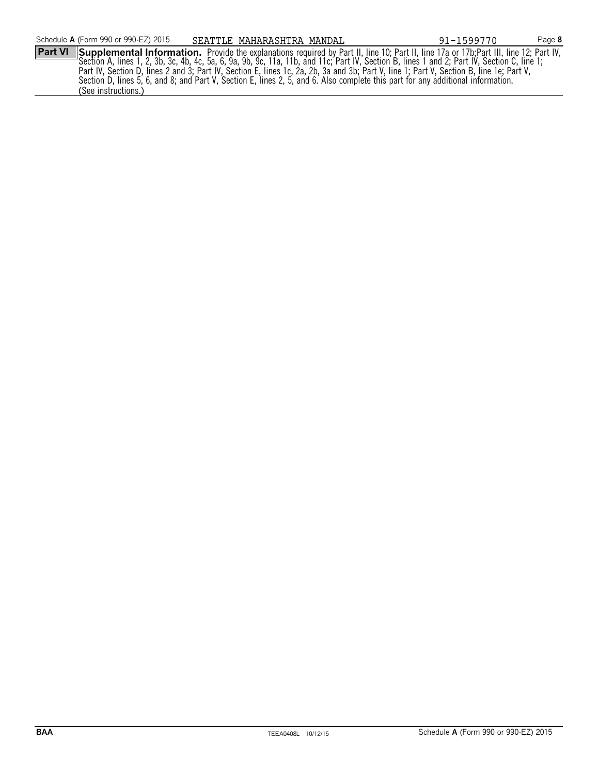**Part VI** Supplemental Information. Provide the explanations required by Part II, line 10; Part II, line 17a or 17b; Part III, line 12; Part IV, Section A, lines 1, 2, 3b, 3c, 4b, 4c, 5a, 6, 9a, 9b, 9c, 11a, 11b, and 11c; Part IV, Section B, lines 1 and 2; Part IV, Section C, line 1; Part IV, Section D, lines 2 and 3; Part IV, Section E, lines 1c, 2a, 2b, 3a and 3b; Part V, line 1; Part V, Section B, line 1e; Part V, Section D, lines 5, 6, and 8; and Part V, Section E, lines 2, 5, and 6. Also complete this part for any additional information. (See instructions.)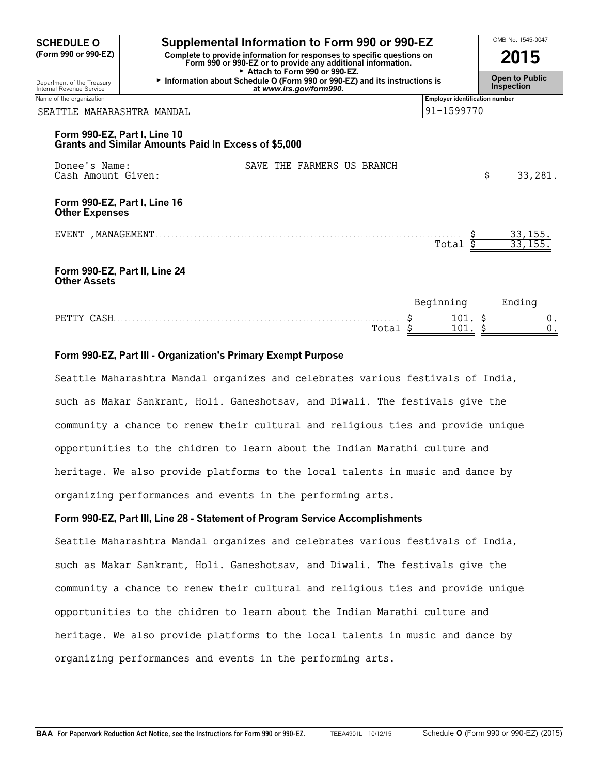| <b>SCHEDULE O</b>                                                                                                                                              | Supplemental Information to Form 990 or 990-EZ                                                                                        |  |  |                            |  |  |                                       | OMB No. 1545-0047       |  |
|----------------------------------------------------------------------------------------------------------------------------------------------------------------|---------------------------------------------------------------------------------------------------------------------------------------|--|--|----------------------------|--|--|---------------------------------------|-------------------------|--|
| (Form 990 or 990-EZ)<br>Complete to provide information for responses to specific questions on<br>Form 990 or 990-EZ or to provide any additional information. |                                                                                                                                       |  |  | 2015                       |  |  |                                       |                         |  |
| Department of the Treasury<br>Internal Revenue Service                                                                                                         | Attach to Form 990 or 990-EZ.<br>Information about Schedule O (Form 990 or 990-EZ) and its instructions is<br>at www.irs.gov/form990. |  |  |                            |  |  | Open to Public<br>Inspection          |                         |  |
| Name of the organization                                                                                                                                       |                                                                                                                                       |  |  |                            |  |  | <b>Employer identification number</b> |                         |  |
| SEATTLE MAHARASHTRA MANDAL                                                                                                                                     |                                                                                                                                       |  |  |                            |  |  | 91-1599770                            |                         |  |
| Form 990-EZ, Part I, Line 10                                                                                                                                   | Grants and Similar Amounts Paid In Excess of \$5,000                                                                                  |  |  |                            |  |  |                                       |                         |  |
| Donee's Name:<br>Cash Amount Given:                                                                                                                            |                                                                                                                                       |  |  | SAVE THE FARMERS US BRANCH |  |  |                                       | \$<br>33,281.           |  |
| Form 990-EZ, Part I, Line 16<br><b>Other Expenses</b>                                                                                                          |                                                                                                                                       |  |  |                            |  |  |                                       |                         |  |
| EVENT , MANAGEMENT.                                                                                                                                            |                                                                                                                                       |  |  |                            |  |  | Total                                 | 33,155.<br>33, 155      |  |
| <b>Other Assets</b>                                                                                                                                            | Form 990-EZ, Part II, Line 24                                                                                                         |  |  |                            |  |  |                                       |                         |  |
|                                                                                                                                                                |                                                                                                                                       |  |  |                            |  |  | $D0$ $m1$ $n2$ $n3$                   | $Find: \pi \rightarrow$ |  |

|              |                   | . | --------- | LIIUIIIU |  |
|--------------|-------------------|---|-----------|----------|--|
| <b>PFTTY</b> | CRCU              |   | 101.      |          |  |
|              | $T \cap$<br>⊥∪ıa⊥ |   | TOT       |          |  |

#### **Form 990-EZ, Part III - Organization's Primary Exempt Purpose**

Seattle Maharashtra Mandal organizes and celebrates various festivals of India, such as Makar Sankrant, Holi. Ganeshotsav, and Diwali. The festivals give the community a chance to renew their cultural and religious ties and provide unique opportunities to the chidren to learn about the Indian Marathi culture and heritage. We also provide platforms to the local talents in music and dance by organizing performances and events in the performing arts.

#### **Form 990-EZ, Part III, Line 28 - Statement of Program Service Accomplishments**

Seattle Maharashtra Mandal organizes and celebrates various festivals of India, such as Makar Sankrant, Holi. Ganeshotsav, and Diwali. The festivals give the community a chance to renew their cultural and religious ties and provide unique opportunities to the chidren to learn about the Indian Marathi culture and heritage. We also provide platforms to the local talents in music and dance by organizing performances and events in the performing arts.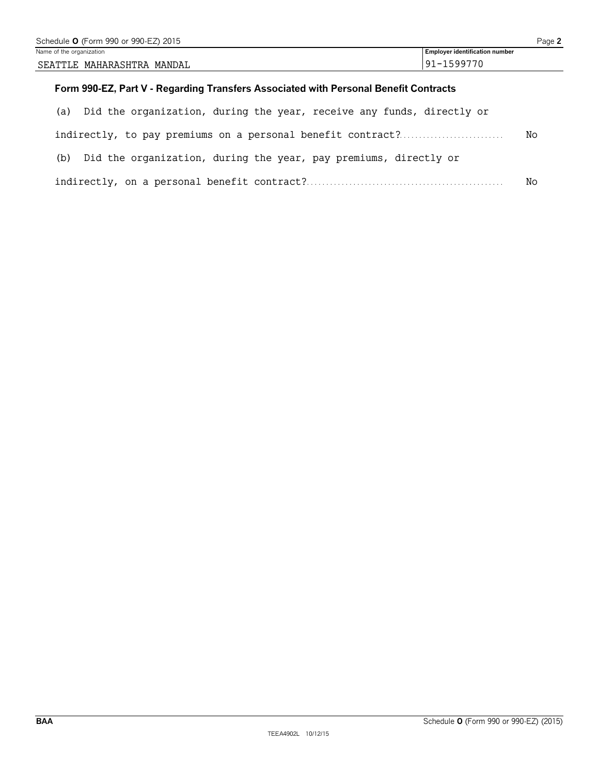| Schedule <b>O</b> (Form 990 or 990-EZ) 2015 |                                |  |  |  |  |
|---------------------------------------------|--------------------------------|--|--|--|--|
| Name of the organization                    | Employer identification number |  |  |  |  |
| SEATTLE MAHARASHTRA MANDAL                  | 91-1599770                     |  |  |  |  |
|                                             |                                |  |  |  |  |

# **Form 990-EZ, Part V - Regarding Transfers Associated with Personal Benefit Contracts**

| (a) Did the organization, during the year, receive any funds, directly or |    |  |  |  |
|---------------------------------------------------------------------------|----|--|--|--|
| indirectly, to pay premiums on a personal benefit contract?               | No |  |  |  |
| (b) Did the organization, during the year, pay premiums, directly or      |    |  |  |  |
| No                                                                        |    |  |  |  |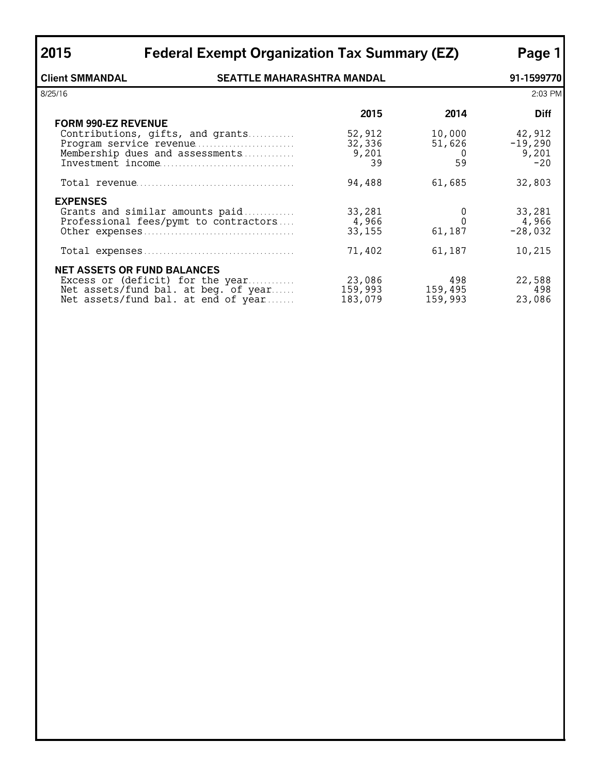| 2015                                                        | <b>Federal Exempt Organization Tax Summary (EZ)</b>                                                                                                   |                                 |                               |                                       |  |  |
|-------------------------------------------------------------|-------------------------------------------------------------------------------------------------------------------------------------------------------|---------------------------------|-------------------------------|---------------------------------------|--|--|
| <b>Client SMMANDAL</b><br><b>SEATTLE MAHARASHTRA MANDAL</b> |                                                                                                                                                       |                                 |                               |                                       |  |  |
| 8/25/16                                                     |                                                                                                                                                       |                                 |                               |                                       |  |  |
| <b>FORM 990-EZ REVENUE</b>                                  |                                                                                                                                                       | 2015                            | 2014                          | <b>Diff</b>                           |  |  |
|                                                             | Contributions, gifts, and grants<br>Program service revenue<br>Membership dues and assessments                                                        | 52,912<br>32,336<br>9,201<br>39 | 10,000<br>51,626<br>- 0<br>59 | 42,912<br>$-19,290$<br>9,201<br>$-20$ |  |  |
|                                                             |                                                                                                                                                       | 94,488                          | 61,685                        | 32,803                                |  |  |
| <b>EXPENSES</b>                                             | Grants and similar amounts paid<br>Professional fees/pymt to contractors                                                                              | 33,281<br>4,966<br>33,155       | 0<br>61,187                   | 33,281<br>4,966<br>$-28,032$          |  |  |
|                                                             |                                                                                                                                                       | 71,402                          | 61,187                        | 10,215                                |  |  |
|                                                             | <b>NET ASSETS OR FUND BALANCES</b><br>Excess or (deficit) for the year<br>Net assets/fund bal. at beg. of year<br>Net assets/fund bal. at end of year | 23,086<br>159,993<br>183,079    | 498<br>159,495<br>159,993     | 22,588<br>498<br>23,086               |  |  |